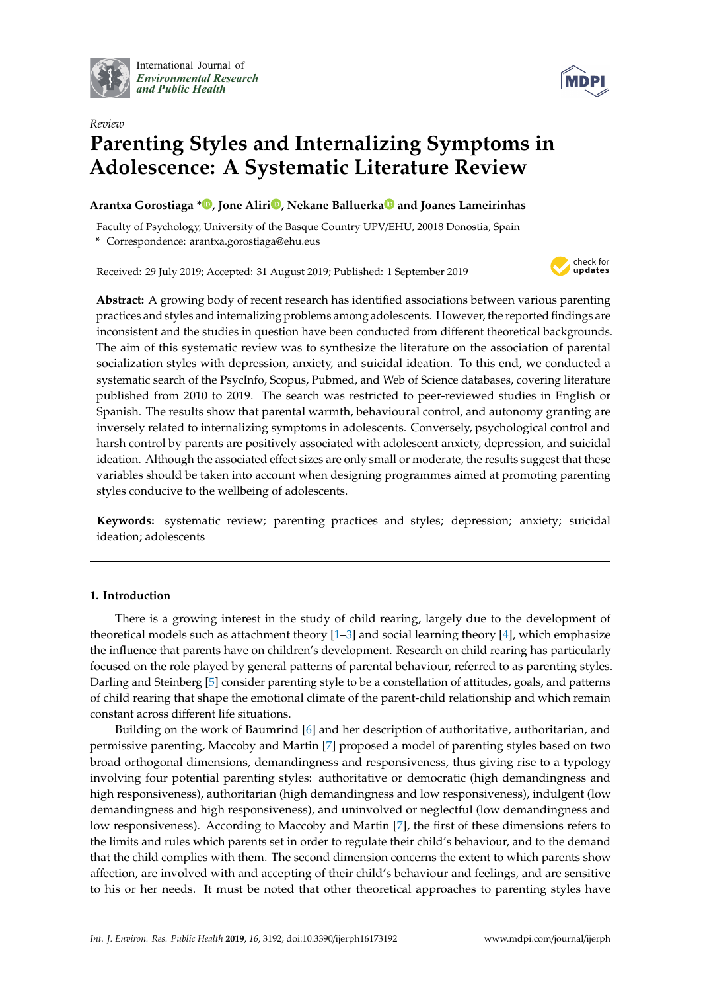

International Journal of *[Environmental Research](http://www.mdpi.com/journal/ijerph) and Public Health*



# *Review* **Parenting Styles and Internalizing Symptoms in Adolescence: A Systematic Literature Review**

## **Arantxa Gorostiaga [\\*](https://orcid.org/0000-0002-3477-3488) , Jone Aliri [,](https://orcid.org/0000-0003-2292-2164) Nekane Balluerk[a](https://orcid.org/0000-0002-1537-393X) and Joanes Lameirinhas**

Faculty of Psychology, University of the Basque Country UPV/EHU, 20018 Donostia, Spain **\*** Correspondence: arantxa.gorostiaga@ehu.eus

Received: 29 July 2019; Accepted: 31 August 2019; Published: 1 September 2019



**Abstract:** A growing body of recent research has identified associations between various parenting practices and styles and internalizing problems among adolescents. However, the reported findings are inconsistent and the studies in question have been conducted from different theoretical backgrounds. The aim of this systematic review was to synthesize the literature on the association of parental socialization styles with depression, anxiety, and suicidal ideation. To this end, we conducted a systematic search of the PsycInfo, Scopus, Pubmed, and Web of Science databases, covering literature published from 2010 to 2019. The search was restricted to peer-reviewed studies in English or Spanish. The results show that parental warmth, behavioural control, and autonomy granting are inversely related to internalizing symptoms in adolescents. Conversely, psychological control and harsh control by parents are positively associated with adolescent anxiety, depression, and suicidal ideation. Although the associated effect sizes are only small or moderate, the results suggest that these variables should be taken into account when designing programmes aimed at promoting parenting styles conducive to the wellbeing of adolescents.

**Keywords:** systematic review; parenting practices and styles; depression; anxiety; suicidal ideation; adolescents

## **1. Introduction**

There is a growing interest in the study of child rearing, largely due to the development of theoretical models such as attachment theory  $[1-3]$  $[1-3]$  and social learning theory  $[4]$ , which emphasize the influence that parents have on children's development. Research on child rearing has particularly focused on the role played by general patterns of parental behaviour, referred to as parenting styles. Darling and Steinberg [\[5\]](#page-13-3) consider parenting style to be a constellation of attitudes, goals, and patterns of child rearing that shape the emotional climate of the parent-child relationship and which remain constant across different life situations.

Building on the work of Baumrind [\[6\]](#page-13-4) and her description of authoritative, authoritarian, and permissive parenting, Maccoby and Martin [\[7\]](#page-13-5) proposed a model of parenting styles based on two broad orthogonal dimensions, demandingness and responsiveness, thus giving rise to a typology involving four potential parenting styles: authoritative or democratic (high demandingness and high responsiveness), authoritarian (high demandingness and low responsiveness), indulgent (low demandingness and high responsiveness), and uninvolved or neglectful (low demandingness and low responsiveness). According to Maccoby and Martin [\[7\]](#page-13-5), the first of these dimensions refers to the limits and rules which parents set in order to regulate their child's behaviour, and to the demand that the child complies with them. The second dimension concerns the extent to which parents show affection, are involved with and accepting of their child's behaviour and feelings, and are sensitive to his or her needs. It must be noted that other theoretical approaches to parenting styles have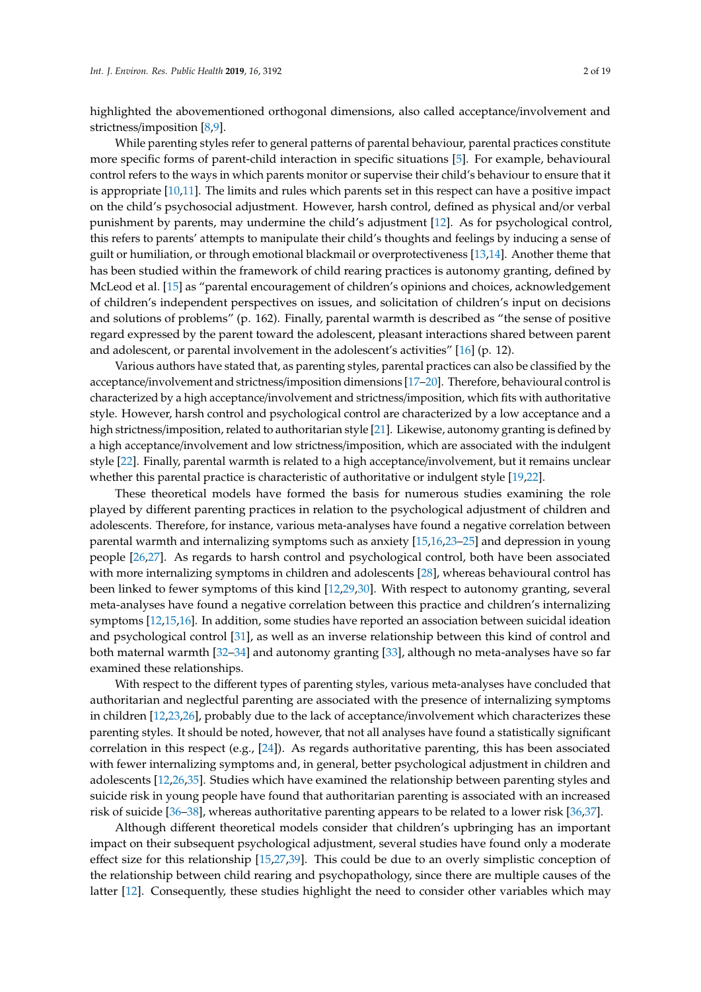highlighted the abovementioned orthogonal dimensions, also called acceptance/involvement and strictness/imposition [\[8](#page-13-6)[,9\]](#page-13-7).

While parenting styles refer to general patterns of parental behaviour, parental practices constitute more specific forms of parent-child interaction in specific situations [\[5\]](#page-13-3). For example, behavioural control refers to the ways in which parents monitor or supervise their child's behaviour to ensure that it is appropriate [\[10,](#page-13-8)[11\]](#page-13-9). The limits and rules which parents set in this respect can have a positive impact on the child's psychosocial adjustment. However, harsh control, defined as physical and/or verbal punishment by parents, may undermine the child's adjustment [\[12\]](#page-13-10). As for psychological control, this refers to parents' attempts to manipulate their child's thoughts and feelings by inducing a sense of guilt or humiliation, or through emotional blackmail or overprotectiveness [\[13](#page-13-11)[,14\]](#page-13-12). Another theme that has been studied within the framework of child rearing practices is autonomy granting, defined by McLeod et al. [\[15\]](#page-13-13) as "parental encouragement of children's opinions and choices, acknowledgement of children's independent perspectives on issues, and solicitation of children's input on decisions and solutions of problems" (p. 162). Finally, parental warmth is described as "the sense of positive regard expressed by the parent toward the adolescent, pleasant interactions shared between parent and adolescent, or parental involvement in the adolescent's activities" [\[16\]](#page-13-14) (p. 12).

Various authors have stated that, as parenting styles, parental practices can also be classified by the acceptance/involvement and strictness/imposition dimensions [\[17–](#page-13-15)[20\]](#page-14-0). Therefore, behavioural control is characterized by a high acceptance/involvement and strictness/imposition, which fits with authoritative style. However, harsh control and psychological control are characterized by a low acceptance and a high strictness/imposition, related to authoritarian style [\[21\]](#page-14-1). Likewise, autonomy granting is defined by a high acceptance/involvement and low strictness/imposition, which are associated with the indulgent style [\[22\]](#page-14-2). Finally, parental warmth is related to a high acceptance/involvement, but it remains unclear whether this parental practice is characteristic of authoritative or indulgent style [\[19](#page-14-3)[,22\]](#page-14-2).

These theoretical models have formed the basis for numerous studies examining the role played by different parenting practices in relation to the psychological adjustment of children and adolescents. Therefore, for instance, various meta-analyses have found a negative correlation between parental warmth and internalizing symptoms such as anxiety [\[15](#page-13-13)[,16](#page-13-14)[,23](#page-14-4)[–25\]](#page-14-5) and depression in young people [\[26](#page-14-6)[,27\]](#page-14-7). As regards to harsh control and psychological control, both have been associated with more internalizing symptoms in children and adolescents [\[28\]](#page-14-8), whereas behavioural control has been linked to fewer symptoms of this kind [\[12](#page-13-10)[,29](#page-14-9)[,30\]](#page-14-10). With respect to autonomy granting, several meta-analyses have found a negative correlation between this practice and children's internalizing symptoms [\[12](#page-13-10)[,15](#page-13-13)[,16\]](#page-13-14). In addition, some studies have reported an association between suicidal ideation and psychological control [\[31\]](#page-14-11), as well as an inverse relationship between this kind of control and both maternal warmth [\[32](#page-14-12)[–34\]](#page-14-13) and autonomy granting [\[33\]](#page-14-14), although no meta-analyses have so far examined these relationships.

With respect to the different types of parenting styles, various meta-analyses have concluded that authoritarian and neglectful parenting are associated with the presence of internalizing symptoms in children [\[12](#page-13-10)[,23](#page-14-4)[,26\]](#page-14-6), probably due to the lack of acceptance/involvement which characterizes these parenting styles. It should be noted, however, that not all analyses have found a statistically significant correlation in this respect (e.g., [\[24\]](#page-14-15)). As regards authoritative parenting, this has been associated with fewer internalizing symptoms and, in general, better psychological adjustment in children and adolescents [\[12,](#page-13-10)[26,](#page-14-6)[35\]](#page-14-16). Studies which have examined the relationship between parenting styles and suicide risk in young people have found that authoritarian parenting is associated with an increased risk of suicide [\[36–](#page-14-17)[38\]](#page-14-18), whereas authoritative parenting appears to be related to a lower risk [\[36](#page-14-17)[,37\]](#page-14-19).

Although different theoretical models consider that children's upbringing has an important impact on their subsequent psychological adjustment, several studies have found only a moderate effect size for this relationship [\[15](#page-13-13)[,27](#page-14-7)[,39\]](#page-14-20). This could be due to an overly simplistic conception of the relationship between child rearing and psychopathology, since there are multiple causes of the latter [\[12\]](#page-13-10). Consequently, these studies highlight the need to consider other variables which may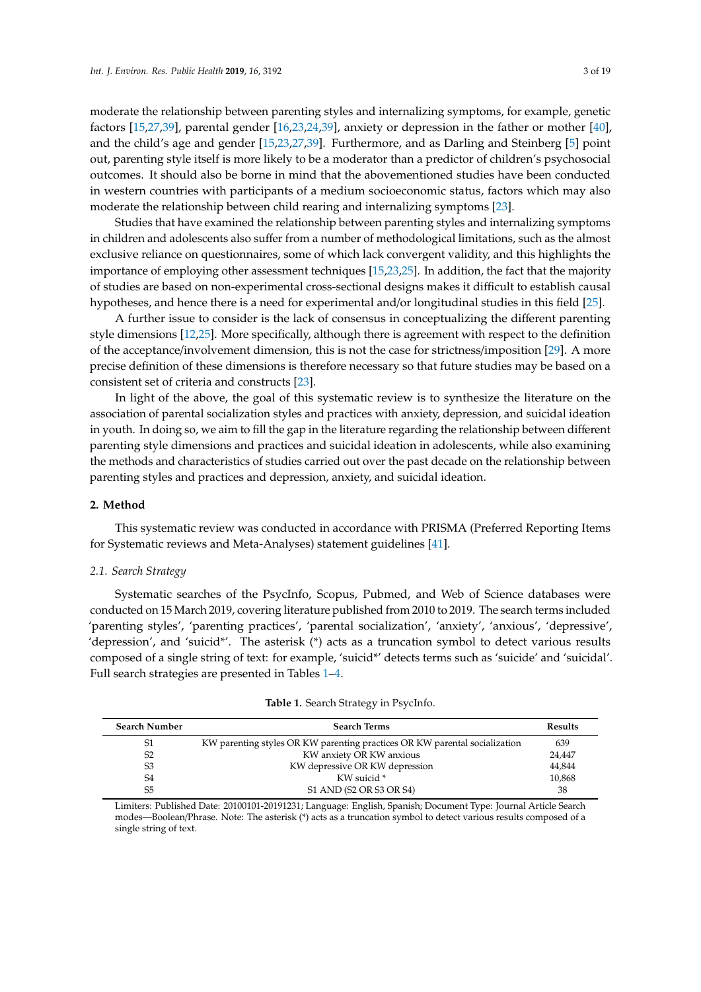moderate the relationship between parenting styles and internalizing symptoms, for example, genetic factors [\[15,](#page-13-13)[27](#page-14-7)[,39\]](#page-14-20), parental gender [\[16,](#page-13-14)[23,](#page-14-4)[24](#page-14-15)[,39\]](#page-14-20), anxiety or depression in the father or mother [\[40\]](#page-14-21), and the child's age and gender [\[15](#page-13-13)[,23](#page-14-4)[,27](#page-14-7)[,39\]](#page-14-20). Furthermore, and as Darling and Steinberg [\[5\]](#page-13-3) point out, parenting style itself is more likely to be a moderator than a predictor of children's psychosocial outcomes. It should also be borne in mind that the abovementioned studies have been conducted in western countries with participants of a medium socioeconomic status, factors which may also moderate the relationship between child rearing and internalizing symptoms [\[23\]](#page-14-4).

Studies that have examined the relationship between parenting styles and internalizing symptoms in children and adolescents also suffer from a number of methodological limitations, such as the almost exclusive reliance on questionnaires, some of which lack convergent validity, and this highlights the importance of employing other assessment techniques [\[15](#page-13-13)[,23](#page-14-4)[,25\]](#page-14-5). In addition, the fact that the majority of studies are based on non-experimental cross-sectional designs makes it difficult to establish causal hypotheses, and hence there is a need for experimental and/or longitudinal studies in this field [\[25\]](#page-14-5).

A further issue to consider is the lack of consensus in conceptualizing the different parenting style dimensions [\[12](#page-13-10)[,25\]](#page-14-5). More specifically, although there is agreement with respect to the definition of the acceptance/involvement dimension, this is not the case for strictness/imposition [\[29\]](#page-14-9). A more precise definition of these dimensions is therefore necessary so that future studies may be based on a consistent set of criteria and constructs [\[23\]](#page-14-4).

In light of the above, the goal of this systematic review is to synthesize the literature on the association of parental socialization styles and practices with anxiety, depression, and suicidal ideation in youth. In doing so, we aim to fill the gap in the literature regarding the relationship between different parenting style dimensions and practices and suicidal ideation in adolescents, while also examining the methods and characteristics of studies carried out over the past decade on the relationship between parenting styles and practices and depression, anxiety, and suicidal ideation.

#### **2. Method**

This systematic review was conducted in accordance with PRISMA (Preferred Reporting Items for Systematic reviews and Meta-Analyses) statement guidelines [\[41\]](#page-15-0).

#### *2.1. Search Strategy*

Systematic searches of the PsycInfo, Scopus, Pubmed, and Web of Science databases were conducted on 15 March 2019, covering literature published from 2010 to 2019. The search terms included 'parenting styles', 'parenting practices', 'parental socialization', 'anxiety', 'anxious', 'depressive', 'depression', and 'suicid\*'. The asterisk (\*) acts as a truncation symbol to detect various results composed of a single string of text: for example, 'suicid\*' detects terms such as 'suicide' and 'suicidal'. Full search strategies are presented in Tables [1](#page-2-0)[–4.](#page-3-0)

<span id="page-2-0"></span>

| <b>Search Number</b> | <b>Search Terms</b>                                                        | <b>Results</b> |
|----------------------|----------------------------------------------------------------------------|----------------|
| S1                   | KW parenting styles OR KW parenting practices OR KW parental socialization | 639            |
| S <sub>2</sub>       | KW anxiety OR KW anxious                                                   | 24,447         |
| S <sub>3</sub>       | KW depressive OR KW depression                                             | 44,844         |
| S4                   | KW suicid *                                                                | 10,868         |
| S5                   | S1 AND (S2 OR S3 OR S4)                                                    | 38             |

|  |  |  |  | Table 1. Search Strategy in PsycInfo. |
|--|--|--|--|---------------------------------------|
|--|--|--|--|---------------------------------------|

Limiters: Published Date: 20100101-20191231; Language: English, Spanish; Document Type: Journal Article Search modes—Boolean/Phrase. Note: The asterisk (\*) acts as a truncation symbol to detect various results composed of a single string of text.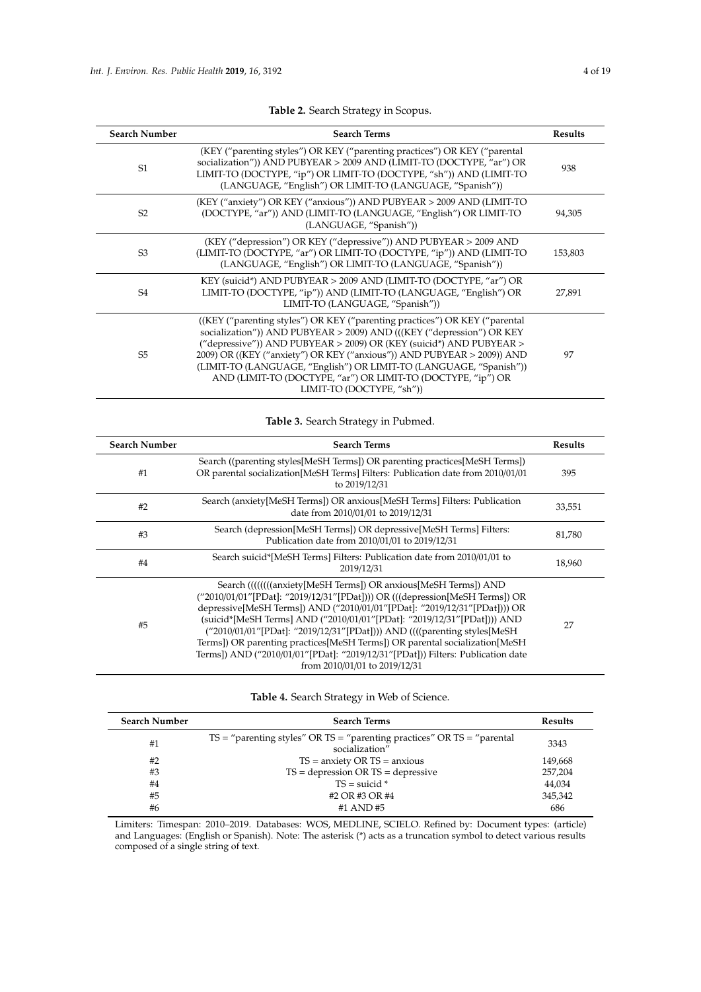| <b>Search Number</b> | <b>Search Terms</b>                                                                                                                                                                                                                                                                                                                                                                                                                                                             | <b>Results</b> |
|----------------------|---------------------------------------------------------------------------------------------------------------------------------------------------------------------------------------------------------------------------------------------------------------------------------------------------------------------------------------------------------------------------------------------------------------------------------------------------------------------------------|----------------|
| S <sub>1</sub>       | (KEY ("parenting styles") OR KEY ("parenting practices") OR KEY ("parental<br>socialization")) AND PUBYEAR > 2009 AND (LIMIT-TO (DOCTYPE, "ar") OR<br>LIMIT-TO (DOCTYPE, "ip") OR LIMIT-TO (DOCTYPE, "sh")) AND (LIMIT-TO<br>(LANGUAGE, "English") OR LIMIT-TO (LANGUAGE, "Spanish"))                                                                                                                                                                                           | 938            |
| S <sub>2</sub>       | (KEY ("anxiety") OR KEY ("anxious")) AND PUBYEAR > 2009 AND (LIMIT-TO<br>(DOCTYPE, "ar")) AND (LIMIT-TO (LANGUAGE, "English") OR LIMIT-TO<br>(LANGUAGE, "Spanish"))                                                                                                                                                                                                                                                                                                             | 94,305         |
| S <sub>3</sub>       | (KEY ("depression") OR KEY ("depressive")) AND PUBYEAR > 2009 AND<br>(LIMIT-TO (DOCTYPE, "ar") OR LIMIT-TO (DOCTYPE, "ip")) AND (LIMIT-TO<br>(LANGUAGE, "English") OR LIMIT-TO (LANGUAGE, "Spanish"))                                                                                                                                                                                                                                                                           | 153,803        |
| S <sub>4</sub>       | KEY (suicid*) AND PUBYEAR > 2009 AND (LIMIT-TO (DOCTYPE, "ar") OR<br>LIMIT-TO (DOCTYPE, "ip")) AND (LIMIT-TO (LANGUAGE, "English") OR<br>LIMIT-TO (LANGUAGE, "Spanish"))                                                                                                                                                                                                                                                                                                        | 27,891         |
| S <sub>5</sub>       | ((KEY ("parenting styles") OR KEY ("parenting practices") OR KEY ("parental")<br>socialization")) AND PUBYEAR > 2009) AND (((KEY ("depression") OR KEY<br>("depressive")) AND PUBYEAR $>$ 2009) OR (KEY (suicid*) AND PUBYEAR $>$<br>2009) OR ((KEY ("anxiety") OR KEY ("anxious")) AND PUBYEAR > 2009)) AND<br>(LIMIT-TO (LANGUAGE, "English") OR LIMIT-TO (LANGUAGE, "Spanish"))<br>AND (LIMIT-TO (DOCTYPE, "ar") OR LIMIT-TO (DOCTYPE, "ip") OR<br>LIMIT-TO (DOCTYPE, "sh")) | 97             |

# **Table 2.** Search Strategy in Scopus.

# **Table 3.** Search Strategy in Pubmed.

| <b>Search Number</b> | <b>Search Terms</b>                                                                                                                                                                                                                                                                                                                                                                                                                                                                                                                                                                  | Results |
|----------------------|--------------------------------------------------------------------------------------------------------------------------------------------------------------------------------------------------------------------------------------------------------------------------------------------------------------------------------------------------------------------------------------------------------------------------------------------------------------------------------------------------------------------------------------------------------------------------------------|---------|
| #1                   | Search ((parenting styles[MeSH Terms]) OR parenting practices[MeSH Terms])<br>OR parental socialization [MeSH Terms] Filters: Publication date from 2010/01/01<br>to 2019/12/31                                                                                                                                                                                                                                                                                                                                                                                                      | 395     |
| #2                   | Search (anxiety[MeSH Terms]) OR anxious[MeSH Terms] Filters: Publication<br>date from 2010/01/01 to 2019/12/31                                                                                                                                                                                                                                                                                                                                                                                                                                                                       | 33,551  |
| #3                   | Search (depression[MeSH Terms]) OR depressive[MeSH Terms] Filters:<br>Publication date from 2010/01/01 to 2019/12/31                                                                                                                                                                                                                                                                                                                                                                                                                                                                 | 81,780  |
| #4                   | Search suicid*[MeSH Terms] Filters: Publication date from 2010/01/01 to<br>2019/12/31                                                                                                                                                                                                                                                                                                                                                                                                                                                                                                | 18,960  |
| #5                   | Search ((((((((anxiety[MeSH Terms]) OR anxious[MeSH Terms]) AND<br>("2010/01/01"[PDat]: "2019/12/31"[PDat])) OR (((depression[MeSH Terms]) OR<br>depressive[MeSH Terms]) AND ("2010/01/01"[PDat]: "2019/12/31"[PDat]))) OR<br>(suicid*[MeSH Terms] AND ("2010/01/01"[PDat]: "2019/12/31"[PDat]))) AND<br>("2010/01/01"[PDat]: "2019/12/31"[PDat]))) AND ((((parenting styles[MeSH)<br>Terms]) OR parenting practices[MeSH Terms]) OR parental socialization[MeSH<br>Terms]) AND ("2010/01/01"[PDat]: "2019/12/31"[PDat])) Filters: Publication date<br>from 2010/01/01 to 2019/12/31 | 27      |

## **Table 4.** Search Strategy in Web of Science.

<span id="page-3-0"></span>

| <b>Search Number</b> | <b>Search Terms</b>                                                                          | <b>Results</b> |
|----------------------|----------------------------------------------------------------------------------------------|----------------|
| #1                   | $TS =$ "parenting styles" OR TS = "parenting practices" OR TS = "parental"<br>socialization" | 3343           |
| #2                   | $TS =$ anxiety OR $TS =$ anxious                                                             | 149,668        |
| #3                   | $TS =$ depression OR $TS =$ depressive                                                       | 257,204        |
| #4                   | $TS = suicide*$                                                                              | 44.034         |
| #5                   | #2 OR #3 OR #4                                                                               | 345,342        |
| #6                   | #1 AND #5                                                                                    | 686            |

Limiters: Timespan: 2010–2019. Databases: WOS, MEDLINE, SCIELO. Refined by: Document types: (article) and Languages: (English or Spanish). Note: The asterisk (\*) acts as a truncation symbol to detect various results composed of a single string of text.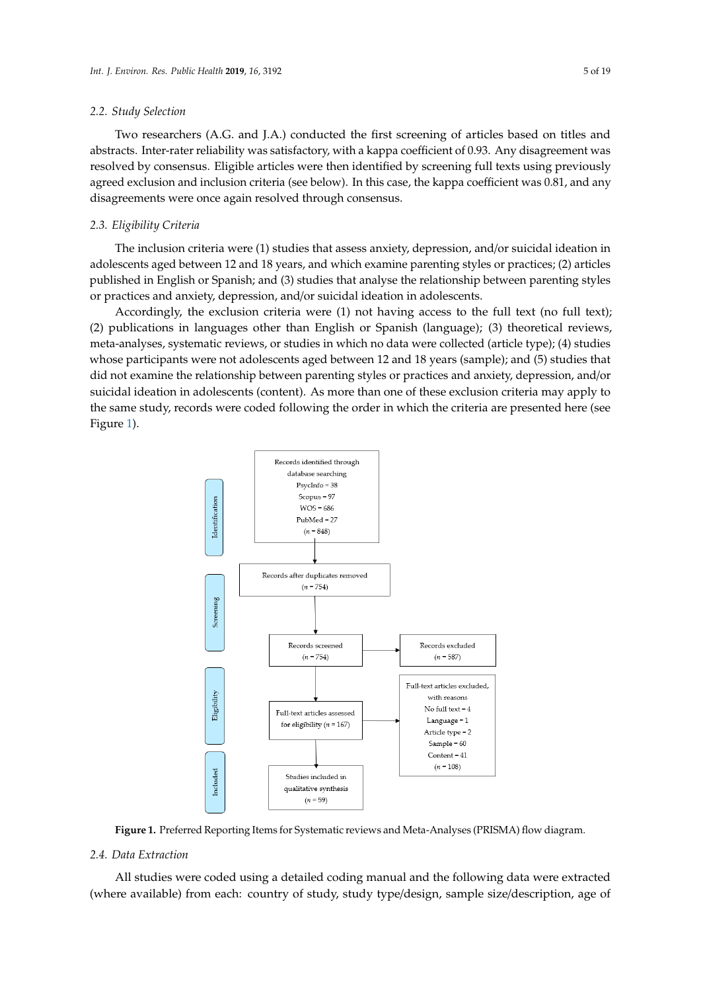#### *2.2. Study Selection*

Two researchers (A.G. and J.A.) conducted the first screening of articles based on titles and abstracts. Inter-rater reliability was satisfactory, with a kappa coefficient of 0.93. Any disagreement was resolved by consensus. Eligible articles were then identified by screening full texts using previously agreed exclusion and inclusion criteria (see below). In this case, the kappa coefficient was 0.81, and any disagreements were once again resolved through consensus. *Int. J. Environ. Res. Public Health* **2019**, *16*, x 5 of 20

#### *2.3. Eligibility Criteria 2.3. Eligibility Criteria*

The inclusion criteria were (1) studies that assess anxiety, depression, and/or suicidal ideation in adolescents aged between 12 and 18 years, and which examine parenting styles or practices; (2) articles published in English or Spanish; and (3) studies that analyse the relationship between parenting styles articles and anxiety, depression, and/or suicidal ideation in adolescents.

Accordingly, the exclusion criteria were  $(1)$  not having access to the full text (no full text); (2) publications in languages other than English or Spanish (language); (3) theoretical reviews,  $\frac{1}{2}$  meta-analyses, systematic reviews, or studies in which no data were collected (article type); (4) studies whose participants were not adolescents aged between 12 and 18 years (sample); and (5) studies that did not examine the relationship between parenting styles or practices and anxiety, depression, and/or suicidal ideation in adolescents (content). As more than one of these exclusion criteria may apply to the same study, records were coded following the order in which the criteria are presented here (see Figure [1\)](#page-4-0).  $\frac{a}{b}$  $\sigma$ ,  $\sigma$ 

<span id="page-4-0"></span>

**Figure 1.** Preferred Reporting Items for Systematic reviews and Meta-Analyses (PRISMA) flow **Figure 1.** Preferred Reporting Items for Systematic reviews and Meta-Analyses (PRISMA) flow diagram.

### 2.4. Data Extraction

*2.4. Data Extraction*  (where available) from each: country of study, study type/design, sample size/description, age ofAll studies were coded using a detailed coding manual and the following data were extracted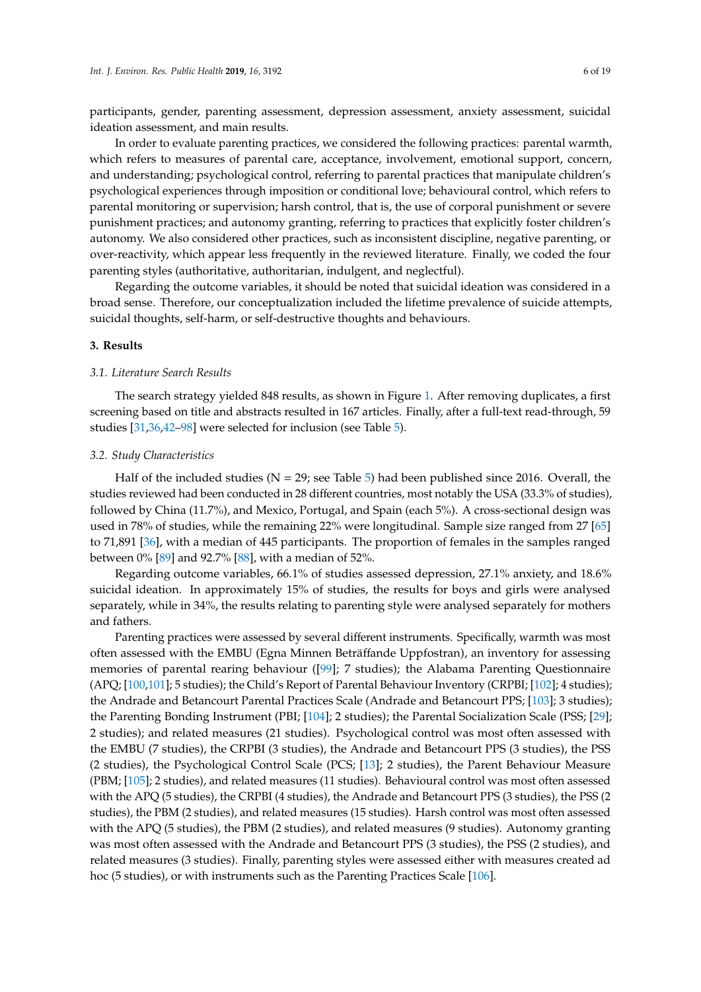participants, gender, parenting assessment, depression assessment, anxiety assessment, suicidal ideation assessment, and main results.

In order to evaluate parenting practices, we considered the following practices: parental warmth, which refers to measures of parental care, acceptance, involvement, emotional support, concern, and understanding; psychological control, referring to parental practices that manipulate children's psychological experiences through imposition or conditional love; behavioural control, which refers to parental monitoring or supervision; harsh control, that is, the use of corporal punishment or severe punishment practices; and autonomy granting, referring to practices that explicitly foster children's autonomy. We also considered other practices, such as inconsistent discipline, negative parenting, or over-reactivity, which appear less frequently in the reviewed literature. Finally, we coded the four parenting styles (authoritative, authoritarian, indulgent, and neglectful).

Regarding the outcome variables, it should be noted that suicidal ideation was considered in a broad sense. Therefore, our conceptualization included the lifetime prevalence of suicide attempts, suicidal thoughts, self-harm, or self-destructive thoughts and behaviours.

#### **3. Results**

#### *3.1. Literature Search Results*

The search strategy yielded 848 results, as shown in Figure [1.](#page-4-0) After removing duplicates, a first screening based on title and abstracts resulted in 167 articles. Finally, after a full-text read-through, 59 studies [\[31](#page-14-11)[,36,](#page-14-17)[42–](#page-15-1)[98\]](#page-17-0) were selected for inclusion (see Table [5\)](#page-10-0).

#### *3.2. Study Characteristics*

Half of the included studies ( $N = 29$ ; see Table [5\)](#page-10-0) had been published since 2016. Overall, the studies reviewed had been conducted in 28 different countries, most notably the USA (33.3% of studies), followed by China (11.7%), and Mexico, Portugal, and Spain (each 5%). A cross-sectional design was used in 78% of studies, while the remaining 22% were longitudinal. Sample size ranged from 27 [\[65\]](#page-16-0) to 71,891 [\[36\]](#page-14-17), with a median of 445 participants. The proportion of females in the samples ranged between 0% [\[89\]](#page-17-1) and 92.7% [\[88\]](#page-17-2), with a median of 52%.

Regarding outcome variables, 66.1% of studies assessed depression, 27.1% anxiety, and 18.6% suicidal ideation. In approximately 15% of studies, the results for boys and girls were analysed separately, while in 34%, the results relating to parenting style were analysed separately for mothers and fathers.

Parenting practices were assessed by several different instruments. Specifically, warmth was most often assessed with the EMBU (Egna Minnen Beträffande Uppfostran), an inventory for assessing memories of parental rearing behaviour ([\[99\]](#page-17-3); 7 studies); the Alabama Parenting Questionnaire (APQ; [\[100](#page-17-4)[,101\]](#page-17-5); 5 studies); the Child's Report of Parental Behaviour Inventory (CRPBI; [\[102\]](#page-17-6); 4 studies); the Andrade and Betancourt Parental Practices Scale (Andrade and Betancourt PPS; [\[103\]](#page-18-0); 3 studies); the Parenting Bonding Instrument (PBI; [\[104\]](#page-18-1); 2 studies); the Parental Socialization Scale (PSS; [\[29\]](#page-14-9); 2 studies); and related measures (21 studies). Psychological control was most often assessed with the EMBU (7 studies), the CRPBI (3 studies), the Andrade and Betancourt PPS (3 studies), the PSS (2 studies), the Psychological Control Scale (PCS; [\[13\]](#page-13-11); 2 studies), the Parent Behaviour Measure (PBM; [\[105\]](#page-18-2); 2 studies), and related measures (11 studies). Behavioural control was most often assessed with the APQ (5 studies), the CRPBI (4 studies), the Andrade and Betancourt PPS (3 studies), the PSS (2 studies), the PBM (2 studies), and related measures (15 studies). Harsh control was most often assessed with the APQ (5 studies), the PBM (2 studies), and related measures (9 studies). Autonomy granting was most often assessed with the Andrade and Betancourt PPS (3 studies), the PSS (2 studies), and related measures (3 studies). Finally, parenting styles were assessed either with measures created ad hoc (5 studies), or with instruments such as the Parenting Practices Scale [\[106\]](#page-18-3).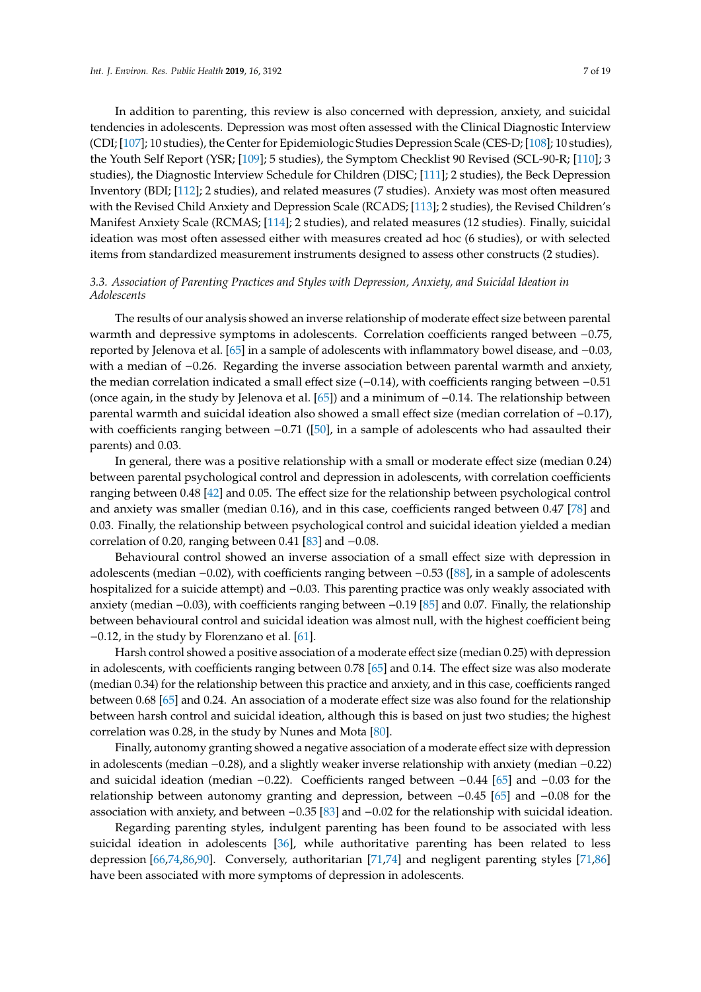In addition to parenting, this review is also concerned with depression, anxiety, and suicidal tendencies in adolescents. Depression was most often assessed with the Clinical Diagnostic Interview (CDI; [\[107\]](#page-18-4); 10 studies), the Center for Epidemiologic Studies Depression Scale (CES-D; [\[108\]](#page-18-5); 10 studies), the Youth Self Report (YSR; [\[109\]](#page-18-6); 5 studies), the Symptom Checklist 90 Revised (SCL-90-R; [\[110\]](#page-18-7); 3 studies), the Diagnostic Interview Schedule for Children (DISC; [\[111\]](#page-18-8); 2 studies), the Beck Depression Inventory (BDI; [\[112\]](#page-18-9); 2 studies), and related measures (7 studies). Anxiety was most often measured with the Revised Child Anxiety and Depression Scale (RCADS; [\[113\]](#page-18-10); 2 studies), the Revised Children's Manifest Anxiety Scale (RCMAS; [\[114\]](#page-18-11); 2 studies), and related measures (12 studies). Finally, suicidal ideation was most often assessed either with measures created ad hoc (6 studies), or with selected items from standardized measurement instruments designed to assess other constructs (2 studies).

## *3.3. Association of Parenting Practices and Styles with Depression, Anxiety, and Suicidal Ideation in Adolescents*

The results of our analysis showed an inverse relationship of moderate effect size between parental warmth and depressive symptoms in adolescents. Correlation coefficients ranged between −0.75, reported by Jelenova et al. [\[65\]](#page-16-0) in a sample of adolescents with inflammatory bowel disease, and −0.03, with a median of −0.26. Regarding the inverse association between parental warmth and anxiety, the median correlation indicated a small effect size (−0.14), with coefficients ranging between −0.51 (once again, in the study by Jelenova et al. [\[65\]](#page-16-0)) and a minimum of −0.14. The relationship between parental warmth and suicidal ideation also showed a small effect size (median correlation of −0.17), with coefficients ranging between −0.71 ([\[50\]](#page-15-2), in a sample of adolescents who had assaulted their parents) and 0.03.

In general, there was a positive relationship with a small or moderate effect size (median 0.24) between parental psychological control and depression in adolescents, with correlation coefficients ranging between 0.48 [\[42\]](#page-15-1) and 0.05. The effect size for the relationship between psychological control and anxiety was smaller (median 0.16), and in this case, coefficients ranged between 0.47 [\[78\]](#page-16-1) and 0.03. Finally, the relationship between psychological control and suicidal ideation yielded a median correlation of 0.20, ranging between 0.41 [\[83\]](#page-17-7) and −0.08.

Behavioural control showed an inverse association of a small effect size with depression in adolescents (median −0.02), with coefficients ranging between −0.53 ([\[88\]](#page-17-2), in a sample of adolescents hospitalized for a suicide attempt) and −0.03. This parenting practice was only weakly associated with anxiety (median −0.03), with coefficients ranging between −0.19 [\[85\]](#page-17-8) and 0.07. Finally, the relationship between behavioural control and suicidal ideation was almost null, with the highest coefficient being −0.12, in the study by Florenzano et al. [\[61\]](#page-16-2).

Harsh control showed a positive association of a moderate effect size (median 0.25) with depression in adolescents, with coefficients ranging between 0.78 [\[65\]](#page-16-0) and 0.14. The effect size was also moderate (median 0.34) for the relationship between this practice and anxiety, and in this case, coefficients ranged between 0.68 [\[65\]](#page-16-0) and 0.24. An association of a moderate effect size was also found for the relationship between harsh control and suicidal ideation, although this is based on just two studies; the highest correlation was 0.28, in the study by Nunes and Mota [\[80\]](#page-16-3).

Finally, autonomy granting showed a negative association of a moderate effect size with depression in adolescents (median −0.28), and a slightly weaker inverse relationship with anxiety (median −0.22) and suicidal ideation (median −0.22). Coefficients ranged between −0.44 [\[65\]](#page-16-0) and −0.03 for the relationship between autonomy granting and depression, between −0.45 [\[65\]](#page-16-0) and −0.08 for the association with anxiety, and between −0.35 [\[83\]](#page-17-7) and −0.02 for the relationship with suicidal ideation.

Regarding parenting styles, indulgent parenting has been found to be associated with less suicidal ideation in adolescents [\[36\]](#page-14-17), while authoritative parenting has been related to less depression [\[66](#page-16-4)[,74,](#page-16-5)[86,](#page-17-9)[90\]](#page-17-10). Conversely, authoritarian [\[71,](#page-16-6)[74\]](#page-16-5) and negligent parenting styles [\[71](#page-16-6)[,86\]](#page-17-9) have been associated with more symptoms of depression in adolescents.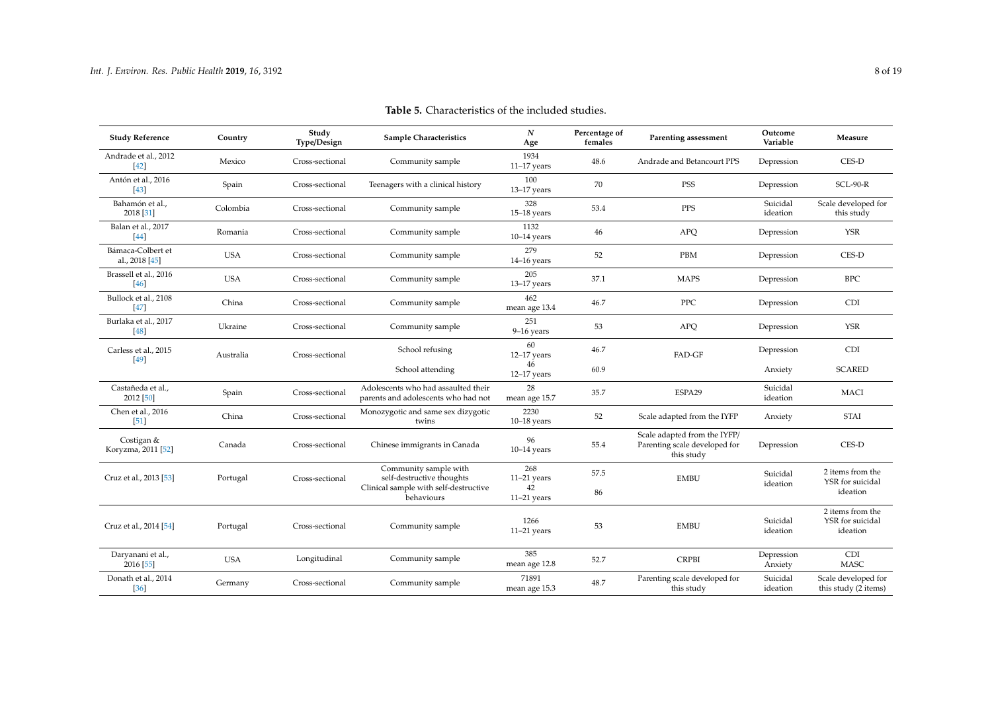| <b>Study Reference</b>              | Country    | Study<br>Type/Design | <b>Sample Characteristics</b>                                                                             | $\boldsymbol{N}$<br>Age                     | Percentage of<br>females | Parenting assessment                                                        | Outcome<br>Variable   | Measure                                          |
|-------------------------------------|------------|----------------------|-----------------------------------------------------------------------------------------------------------|---------------------------------------------|--------------------------|-----------------------------------------------------------------------------|-----------------------|--------------------------------------------------|
| Andrade et al., 2012<br>$[42]$      | Mexico     | Cross-sectional      | Community sample                                                                                          | 1934<br>$11-17$ years                       | 48.6                     | Andrade and Betancourt PPS                                                  | Depression            | CES-D                                            |
| Antón et al., 2016<br>$[43]$        | Spain      | Cross-sectional      | Teenagers with a clinical history                                                                         | 100<br>$13-17$ years                        | 70                       | <b>PSS</b>                                                                  | Depression            | $SCL-90-R$                                       |
| Bahamón et al.,<br>2018 [31]        | Colombia   | Cross-sectional      | Community sample                                                                                          | 328<br>$15-18$ years                        | 53.4                     | <b>PPS</b>                                                                  | Suicidal<br>ideation  | Scale developed for<br>this study                |
| Balan et al., 2017<br>$[44]$        | Romania    | Cross-sectional      | Community sample                                                                                          | 1132<br>$10-14$ years                       | 46                       | <b>APQ</b>                                                                  | Depression            | <b>YSR</b>                                       |
| Bámaca-Colbert et<br>al., 2018 [45] | <b>USA</b> | Cross-sectional      | Community sample                                                                                          | 279<br>$14-16$ years                        | 52                       | PBM                                                                         | Depression            | CES-D                                            |
| Brassell et al., 2016<br>$[46]$     | <b>USA</b> | Cross-sectional      | Community sample                                                                                          | 205<br>$13-17$ years                        | 37.1                     | <b>MAPS</b>                                                                 | Depression            | <b>BPC</b>                                       |
| Bullock et al., 2108<br><b>47</b>   | China      | Cross-sectional      | Community sample                                                                                          | 462<br>mean age 13.4                        | 46.7                     | <b>PPC</b>                                                                  | Depression            | <b>CDI</b>                                       |
| Burlaka et al., 2017<br>[48]        | Ukraine    | Cross-sectional      | Community sample                                                                                          | 251<br>$9-16$ years                         | 53                       | APQ                                                                         | Depression            | <b>YSR</b>                                       |
| Carless et al., 2015<br>[49]        | Australia  | Cross-sectional      | School refusing                                                                                           | 60<br>$12-17$ years                         | 46.7                     | FAD-GF                                                                      | Depression            | <b>CDI</b>                                       |
|                                     |            |                      | School attending                                                                                          | 46<br>$12-17$ years                         | 60.9                     |                                                                             | Anxiety               | <b>SCARED</b>                                    |
| Castañeda et al.,<br>2012 [50]      | Spain      | Cross-sectional      | Adolescents who had assaulted their<br>parents and adolescents who had not                                | 28<br>mean age 15.7                         | 35.7                     | ESPA29                                                                      | Suicidal<br>ideation  | <b>MACI</b>                                      |
| Chen et al., 2016<br>[51]           | China      | Cross-sectional      | Monozygotic and same sex dizygotic<br>twins                                                               | 2230<br>$10-18$ years                       | 52                       | Scale adapted from the IYFP                                                 | Anxiety               | <b>STAI</b>                                      |
| Costigan &<br>Koryzma, 2011 [52]    | Canada     | Cross-sectional      | Chinese immigrants in Canada                                                                              | 96<br>$10-14$ years                         | 55.4                     | Scale adapted from the IYFP/<br>Parenting scale developed for<br>this study | Depression            | CES-D                                            |
| Cruz et al., 2013 [53]              | Portugal   | Cross-sectional      | Community sample with<br>self-destructive thoughts<br>Clinical sample with self-destructive<br>behaviours | 268<br>$11-21$ years<br>42<br>$11-21$ years | 57.5<br>86               | <b>EMBU</b>                                                                 | Suicidal<br>ideation  | 2 items from the<br>YSR for suicidal<br>ideation |
| Cruz et al., 2014 [54]              | Portugal   | Cross-sectional      | Community sample                                                                                          | 1266<br>$11-21$ years                       | 53                       | <b>EMBU</b>                                                                 | Suicidal<br>ideation  | 2 items from the<br>YSR for suicidal<br>ideation |
| Daryanani et al.,<br>2016 [55]      | <b>USA</b> | Longitudinal         | Community sample                                                                                          | 385<br>mean age 12.8                        | 52.7                     | <b>CRPBI</b>                                                                | Depression<br>Anxiety | CDI<br><b>MASC</b>                               |
| Donath et al., 2014<br>$[36]$       | Germany    | Cross-sectional      | Community sample                                                                                          | 71891<br>mean age 15.3                      | 48.7                     | Parenting scale developed for<br>this study                                 | Suicidal<br>ideation  | Scale developed for<br>this study (2 items)      |

## **Table 5.** Characteristics of the included studies.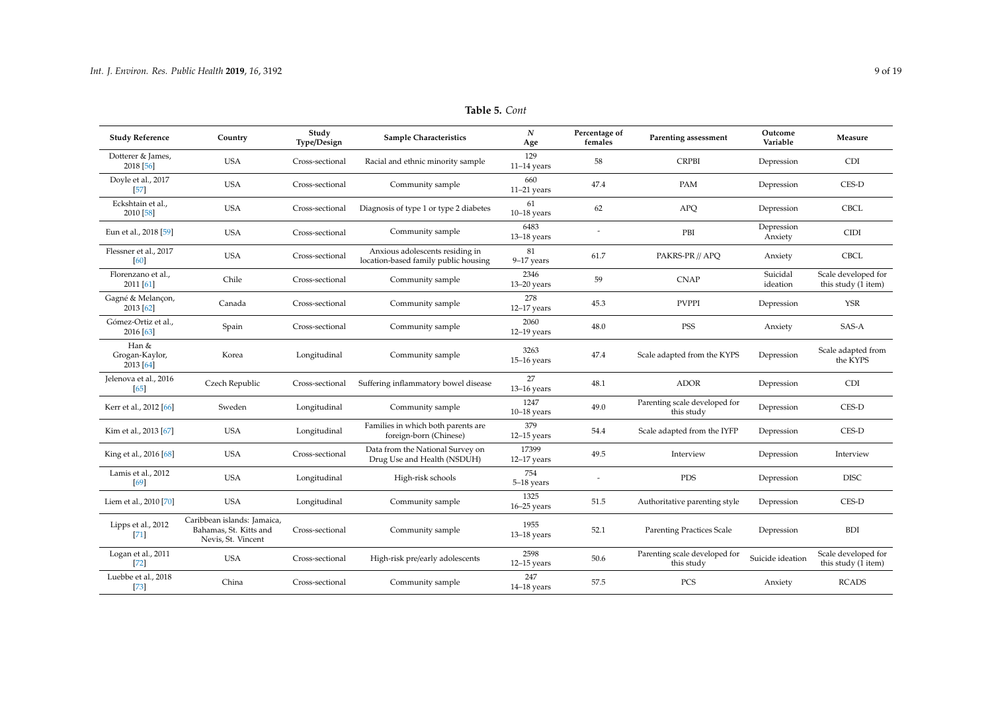| <b>Study Reference</b>               | Country                                                                     | Study<br>Type/Design | <b>Sample Characteristics</b>                                           | N<br>Age                | Percentage of<br>females | Parenting assessment                        | Outcome<br>Variable   | Measure                                    |
|--------------------------------------|-----------------------------------------------------------------------------|----------------------|-------------------------------------------------------------------------|-------------------------|--------------------------|---------------------------------------------|-----------------------|--------------------------------------------|
| Dotterer & James,<br>2018 [56]       | <b>USA</b>                                                                  | Cross-sectional      | Racial and ethnic minority sample                                       | 129<br>$11-14$ years    | 58                       | <b>CRPBI</b>                                | Depression            | <b>CDI</b>                                 |
| Doyle et al., 2017<br>$[57]$         | <b>USA</b>                                                                  | Cross-sectional      | Community sample                                                        | 660<br>$11-21$ years    | 47.4                     | PAM                                         | Depression            | CES-D                                      |
| Eckshtain et al.,<br>2010 [58]       | <b>USA</b>                                                                  | Cross-sectional      | Diagnosis of type 1 or type 2 diabetes                                  | 61<br>$10-18$ years     | 62                       | APQ                                         | Depression            | <b>CBCL</b>                                |
| Eun et al., 2018 [59]                | <b>USA</b>                                                                  | Cross-sectional      | Community sample                                                        | 6483<br>$13-18$ years   |                          | PBI                                         | Depression<br>Anxiety | CIDI                                       |
| Flessner et al., 2017<br>[60]        | <b>USA</b>                                                                  | Cross-sectional      | Anxious adolescents residing in<br>location-based family public housing | 81<br>$9-17$ years      | 61.7                     | PAKRS-PR // APQ                             | Anxiety               | <b>CBCL</b>                                |
| Florenzano et al.,<br>2011 [61]      | Chile                                                                       | Cross-sectional      | Community sample                                                        | 2346<br>$13-20$ years   | 59                       | <b>CNAP</b>                                 | Suicidal<br>ideation  | Scale developed for<br>this study (1 item) |
| Gagné & Melançon,<br>2013 [62]       | Canada                                                                      | Cross-sectional      | Community sample                                                        | 278<br>$12-17$ years    | 45.3                     | <b>PVPPI</b>                                | Depression            | <b>YSR</b>                                 |
| Gómez-Ortiz et al.,<br>2016 [63]     | Spain                                                                       | Cross-sectional      | Community sample                                                        | 2060<br>$12-19$ years   | 48.0                     | PSS                                         | Anxiety               | SAS-A                                      |
| Han &<br>Grogan-Kaylor,<br>2013 [64] | Korea                                                                       | Longitudinal         | Community sample                                                        | 3263<br>$15-16$ years   | 47.4                     | Scale adapted from the KYPS                 | Depression            | Scale adapted from<br>the KYPS             |
| Jelenova et al., 2016<br>[65]        | Czech Republic                                                              | Cross-sectional      | Suffering inflammatory bowel disease                                    | 27<br>$13-16$ years     | 48.1                     | <b>ADOR</b>                                 | Depression            | <b>CDI</b>                                 |
| Kerr et al., 2012 [66]               | Sweden                                                                      | Longitudinal         | Community sample                                                        | 1247<br>$10-18$ years   | 49.0                     | Parenting scale developed for<br>this study | Depression            | CES-D                                      |
| Kim et al., 2013 [67]                | <b>USA</b>                                                                  | Longitudinal         | Families in which both parents are<br>foreign-born (Chinese)            | 379<br>$12-15$ years    | 54.4                     | Scale adapted from the IYFP                 | Depression            | CES-D                                      |
| King et al., 2016 [68]               | <b>USA</b>                                                                  | Cross-sectional      | Data from the National Survey on<br>Drug Use and Health (NSDUH)         | 17399<br>$12-17$ years  | 49.5                     | Interview                                   | Depression            | Interview                                  |
| Lamis et al., 2012<br>[69]           | <b>USA</b>                                                                  | Longitudinal         | High-risk schools                                                       | 754<br>5-18 years       |                          | <b>PDS</b>                                  | Depression            | <b>DISC</b>                                |
| Liem et al., 2010 [70]               | <b>USA</b>                                                                  | Longitudinal         | Community sample                                                        | 1325<br>$16 - 25$ years | 51.5                     | Authoritative parenting style               | Depression            | CES-D                                      |
| Lipps et al., 2012<br>[71]           | Caribbean islands: Jamaica,<br>Bahamas, St. Kitts and<br>Nevis, St. Vincent | Cross-sectional      | Community sample                                                        | 1955<br>$13-18$ years   | 52.1                     | <b>Parenting Practices Scale</b>            | Depression            | <b>BDI</b>                                 |
| Logan et al., 2011<br>$[72]$         | <b>USA</b>                                                                  | Cross-sectional      | High-risk pre/early adolescents                                         | 2598<br>$12-15$ years   | 50.6                     | Parenting scale developed for<br>this study | Suicide ideation      | Scale developed for<br>this study (1 item) |
| Luebbe et al., 2018<br>$[73]$        | China                                                                       | Cross-sectional      | Community sample                                                        | 247<br>$14-18$ years    | 57.5                     | PCS                                         | Anxiety               | <b>RCADS</b>                               |

## **Table 5.** *Cont*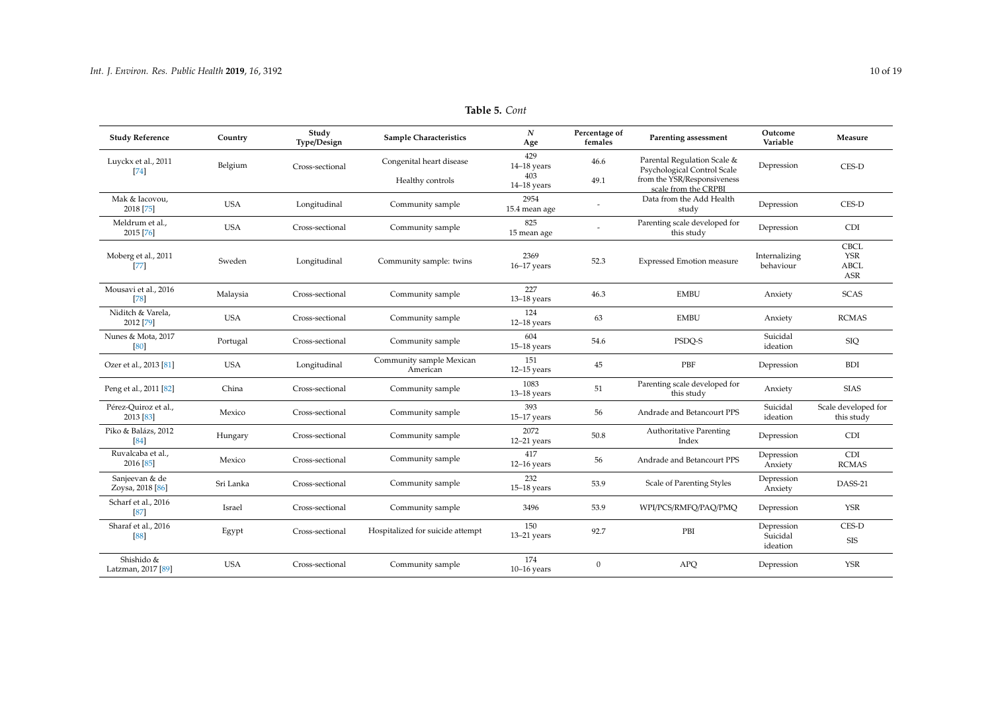| <b>Study Reference</b>                        | Country    | Study<br>Type/Design | Sample Characteristics               | $\boldsymbol{N}$<br>Age     | Percentage of<br>females | Parenting assessment                                       | Outcome<br>Variable                | Measure                                         |
|-----------------------------------------------|------------|----------------------|--------------------------------------|-----------------------------|--------------------------|------------------------------------------------------------|------------------------------------|-------------------------------------------------|
| Luyckx et al., 2011<br>741                    | Belgium    | Cross-sectional      | Congenital heart disease             | 429<br>$14-18$ years<br>403 | 46.6                     | Parental Regulation Scale &<br>Psychological Control Scale | Depression                         | CES-D                                           |
|                                               |            |                      | Healthy controls                     | $14-18$ years               | 49.1                     | from the YSR/Responsiveness<br>scale from the CRPBI        |                                    |                                                 |
| Mak & Iacovou,<br>2018 [75]                   | <b>USA</b> | Longitudinal         | Community sample                     | 2954<br>15.4 mean age       |                          | Data from the Add Health<br>study                          | Depression                         | CES-D                                           |
| Meldrum et al.,<br>2015 [76]                  | <b>USA</b> | Cross-sectional      | Community sample                     | 825<br>15 mean age          |                          | Parenting scale developed for<br>this study                | Depression                         | <b>CDI</b>                                      |
| Moberg et al., 2011<br>$[77]$                 | Sweden     | Longitudinal         | Community sample: twins              | 2369<br>$16-17$ years       | 52.3                     | <b>Expressed Emotion measure</b>                           | Internalizing<br>behaviour         | <b>CBCL</b><br><b>YSR</b><br><b>ABCL</b><br>ASR |
| Mousavi et al., 2016<br>[78]                  | Malaysia   | Cross-sectional      | Community sample                     | 227<br>$13-18$ years        | 46.3                     | <b>EMBU</b>                                                | Anxiety                            | <b>SCAS</b>                                     |
| Niditch & Varela,<br>2012 [79]                | <b>USA</b> | Cross-sectional      | Community sample                     | 124<br>$12-18$ years        | 63                       | <b>EMBU</b>                                                | Anxiety                            | <b>RCMAS</b>                                    |
| Nunes & Mota, 2017<br>[80]                    | Portugal   | Cross-sectional      | Community sample                     | 604<br>$15-18$ years        | 54.6                     | PSDQ-S                                                     | Suicidal<br>ideation               | <b>SIQ</b>                                      |
| Ozer et al., 2013 [81]                        | <b>USA</b> | Longitudinal         | Community sample Mexican<br>American | 151<br>$12-15$ years        | 45                       | PBF                                                        | Depression                         | <b>BDI</b>                                      |
| Peng et al., 2011 [82]                        | China      | Cross-sectional      | Community sample                     | 1083<br>$13-18$ years       | 51                       | Parenting scale developed for<br>this study                | Anxiety                            | <b>SIAS</b>                                     |
| Pérez-Quiroz et al.,<br>2013 [83]             | Mexico     | Cross-sectional      | Community sample                     | 393<br>$15-17$ years        | 56                       | Andrade and Betancourt PPS                                 | Suicidal<br>ideation               | Scale developed for<br>this study               |
| Piko & Balázs, 2012<br>[84]                   | Hungary    | Cross-sectional      | Community sample                     | 2072<br>$12-21$ years       | 50.8                     | <b>Authoritative Parenting</b><br>Index                    | Depression                         | <b>CDI</b>                                      |
| Ruvalcaba et al.,<br>2016 [85]                | Mexico     | Cross-sectional      | Community sample                     | 417<br>$12-16$ years        | 56                       | Andrade and Betancourt PPS                                 | Depression<br>Anxiety              | CDI<br><b>RCMAS</b>                             |
| Sanjeevan & de<br>Zoysa, 2018 <sup>[86]</sup> | Sri Lanka  | Cross-sectional      | Community sample                     | 232<br>$15-18$ years        | 53.9                     | Scale of Parenting Styles                                  | Depression<br>Anxiety              | DASS-21                                         |
| Scharf et al., 2016<br>[87]                   | Israel     | Cross-sectional      | Community sample                     | 3496                        | 53.9                     | WPI/PCS/RMFQ/PAQ/PMQ                                       | Depression                         | <b>YSR</b>                                      |
| Sharaf et al., 2016<br>88                     | Egypt      | Cross-sectional      | Hospitalized for suicide attempt     | 150<br>$13-21$ years        | 92.7                     | PBI                                                        | Depression<br>Suicidal<br>ideation | CES-D<br><b>SIS</b>                             |
| Shishido &<br>Latzman, 2017 <sup>[89]</sup>   | <b>USA</b> | Cross-sectional      | Community sample                     | 174<br>$10-16$ years        | $\mathbf{0}$             | <b>APQ</b>                                                 | Depression                         | <b>YSR</b>                                      |

## **Table 5.** *Cont*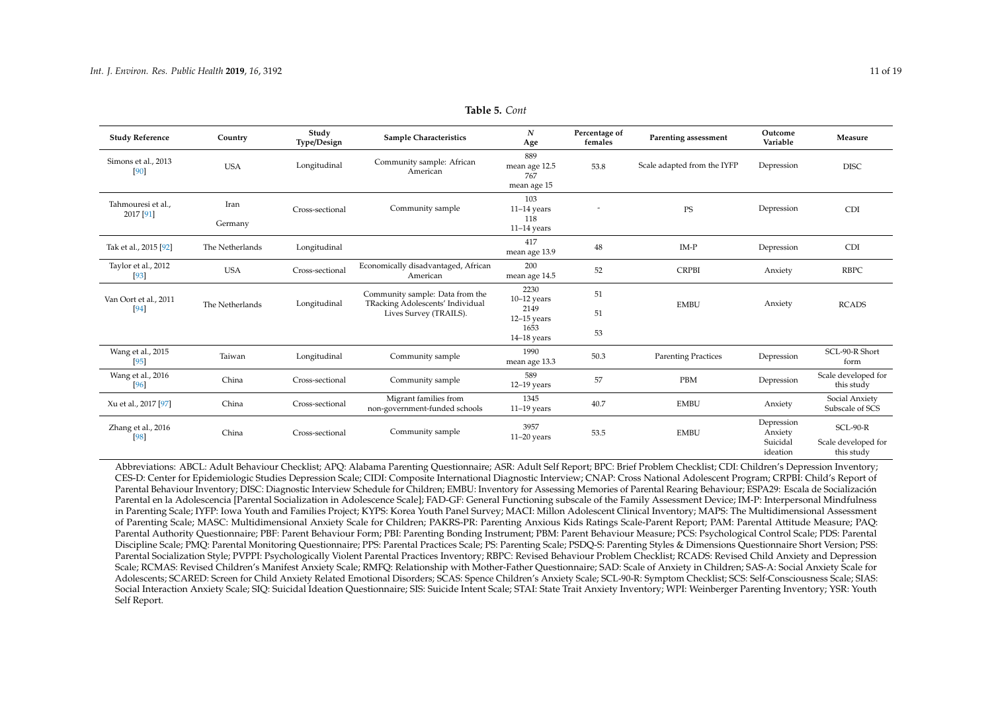| <b>Study Reference</b>          | Country         | Study<br>Type/Design | <b>Sample Characteristics</b>                                                                 | N<br>Age                                                                | Percentage of<br>females | Parenting assessment        | Outcome<br>Variable                           | Measure                                         |
|---------------------------------|-----------------|----------------------|-----------------------------------------------------------------------------------------------|-------------------------------------------------------------------------|--------------------------|-----------------------------|-----------------------------------------------|-------------------------------------------------|
| Simons et al., 2013<br>[90]     | <b>USA</b>      | Longitudinal         | Community sample: African<br>American                                                         | 889<br>mean age 12.5<br>767<br>mean age 15                              | 53.8                     | Scale adapted from the IYFP | Depression                                    | <b>DISC</b>                                     |
| Tahmouresi et al.,<br>2017 [91] | Iran<br>Germany | Cross-sectional      | Community sample                                                                              | 103<br>$11-14$ years<br>118<br>$11-14$ years                            |                          | <b>PS</b>                   | Depression                                    | <b>CDI</b>                                      |
| Tak et al., 2015 [92]           | The Netherlands | Longitudinal         |                                                                                               | 417<br>mean age 13.9                                                    | 48                       | $IM-P$                      | Depression                                    | <b>CDI</b>                                      |
| Taylor et al., 2012<br>[93]     | <b>USA</b>      | Cross-sectional      | Economically disadvantaged, African<br>American                                               | 200<br>mean age 14.5                                                    | 52                       | <b>CRPBI</b>                | Anxiety                                       | <b>RBPC</b>                                     |
| Van Oort et al., 2011<br>$[94]$ | The Netherlands | Longitudinal         | Community sample: Data from the<br>TRacking Adolescents' Individual<br>Lives Survey (TRAILS). | 2230<br>$10-12$ years<br>2149<br>$12-15$ years<br>1653<br>$14-18$ years | 51<br>51<br>53           | <b>EMBU</b>                 | Anxiety                                       | <b>RCADS</b>                                    |
| Wang et al., 2015<br>[95]       | Taiwan          | Longitudinal         | Community sample                                                                              | 1990<br>mean age 13.3                                                   | 50.3                     | <b>Parenting Practices</b>  | Depression                                    | SCL-90-R Short<br>form                          |
| Wang et al., 2016<br>[96]       | China           | Cross-sectional      | Community sample                                                                              | 589<br>$12-19$ years                                                    | 57                       | PBM                         | Depression                                    | Scale developed for<br>this study               |
| Xu et al., 2017 [97]            | China           | Cross-sectional      | Migrant families from<br>non-government-funded schools                                        | 1345<br>$11-19$ years                                                   | 40.7                     | <b>EMBU</b>                 | Anxiety                                       | Social Anxiety<br>Subscale of SCS               |
| Zhang et al., 2016<br>[98]      | China           | Cross-sectional      | Community sample                                                                              | 3957<br>$11-20$ years                                                   | 53.5                     | <b>EMBU</b>                 | Depression<br>Anxiety<br>Suicidal<br>ideation | $SCL-90-R$<br>Scale developed for<br>this study |

| <b>Table 5. Cont</b> |  |
|----------------------|--|
|----------------------|--|

<span id="page-10-0"></span>Abbreviations: ABCL: Adult Behaviour Checklist; APQ: Alabama Parenting Questionnaire; ASR: Adult Self Report; BPC: Brief Problem Checklist; CDI: Children's Depression Inventory; CES-D: Center for Epidemiologic Studies Depression Scale; CIDI: Composite International Diagnostic Interview; CNAP: Cross National Adolescent Program; CRPBI: Child's Report of Parental Behaviour Inventory; DISC: Diagnostic Interview Schedule for Children; EMBU: Inventory for Assessing Memories of Parental Rearing Behaviour; ESPA29: Escala de Socialización Parental en la Adolescencia [Parental Socialization in Adolescence Scale]; FAD-GF: General Functioning subscale of the Family Assessment Device; IM-P: Interpersonal Mindfulness in Parenting Scale; IYFP: Iowa Youth and Families Project; KYPS: Korea Youth Panel Survey; MACI: Millon Adolescent Clinical Inventory; MAPS: The Multidimensional Assessment of Parenting Scale; MASC: Multidimensional Anxiety Scale for Children; PAKRS-PR: Parenting Anxious Kids Ratings Scale-Parent Report; PAM: Parental Attitude Measure; PAQ: Parental Authority Questionnaire; PBF: Parent Behaviour Form; PBI: Parenting Bonding Instrument; PBM: Parent Behaviour Measure; PCS: Psychological Control Scale; PDS: Parental Discipline Scale; PMQ: Parental Monitoring Questionnaire; PPS: Parental Practices Scale; PS: Parenting Scale; PSDQ-S: Parenting Styles & Dimensions Questionnaire Short Version; PSS: Parental Socialization Style; PVPPI: Psychologically Violent Parental Practices Inventory; RBPC: Revised Behaviour Problem Checklist; RCADS: Revised Child Anxiety and Depression Scale; RCMAS: Revised Children's Manifest Anxiety Scale; RMFQ: Relationship with Mother-Father Questionnaire; SAD: Scale of Anxiety in Children; SAS-A: Social Anxiety Scale for Adolescents; SCARED: Screen for Child Anxiety Related Emotional Disorders; SCAS: Spence Children's Anxiety Scale; SCL-90-R: Symptom Checklist; SCS: Self-Consciousness Scale; SIAS: Social Interaction Anxiety Scale; SIQ: Suicidal Ideation Questionnaire; SIS: Suicide Intent Scale; STAI: State Trait Anxiety Inventory; WPI: Weinberger Parenting Inventory; YSR: Youth Self Report.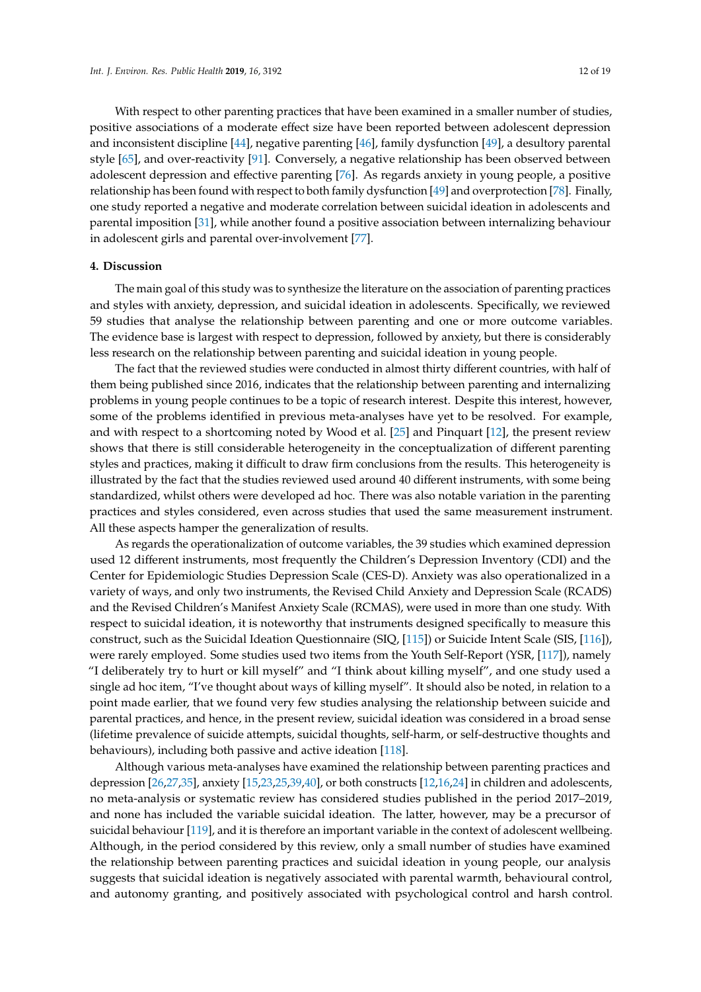With respect to other parenting practices that have been examined in a smaller number of studies, positive associations of a moderate effect size have been reported between adolescent depression and inconsistent discipline [\[44\]](#page-15-12), negative parenting [\[46\]](#page-15-22), family dysfunction [\[49\]](#page-15-23), a desultory parental style [\[65\]](#page-16-0), and over-reactivity [\[91\]](#page-17-27). Conversely, a negative relationship has been observed between adolescent depression and effective parenting [\[76\]](#page-16-28). As regards anxiety in young people, a positive relationship has been found with respect to both family dysfunction [\[49\]](#page-15-23) and overprotection [\[78\]](#page-16-1). Finally, one study reported a negative and moderate correlation between suicidal ideation in adolescents and parental imposition [\[31\]](#page-14-11), while another found a positive association between internalizing behaviour in adolescent girls and parental over-involvement [\[77\]](#page-16-29).

#### **4. Discussion**

The main goal of this study was to synthesize the literature on the association of parenting practices and styles with anxiety, depression, and suicidal ideation in adolescents. Specifically, we reviewed 59 studies that analyse the relationship between parenting and one or more outcome variables. The evidence base is largest with respect to depression, followed by anxiety, but there is considerably less research on the relationship between parenting and suicidal ideation in young people.

The fact that the reviewed studies were conducted in almost thirty different countries, with half of them being published since 2016, indicates that the relationship between parenting and internalizing problems in young people continues to be a topic of research interest. Despite this interest, however, some of the problems identified in previous meta-analyses have yet to be resolved. For example, and with respect to a shortcoming noted by Wood et al. [\[25\]](#page-14-5) and Pinquart [\[12\]](#page-13-10), the present review shows that there is still considerable heterogeneity in the conceptualization of different parenting styles and practices, making it difficult to draw firm conclusions from the results. This heterogeneity is illustrated by the fact that the studies reviewed used around 40 different instruments, with some being standardized, whilst others were developed ad hoc. There was also notable variation in the parenting practices and styles considered, even across studies that used the same measurement instrument. All these aspects hamper the generalization of results.

As regards the operationalization of outcome variables, the 39 studies which examined depression used 12 different instruments, most frequently the Children's Depression Inventory (CDI) and the Center for Epidemiologic Studies Depression Scale (CES-D). Anxiety was also operationalized in a variety of ways, and only two instruments, the Revised Child Anxiety and Depression Scale (RCADS) and the Revised Children's Manifest Anxiety Scale (RCMAS), were used in more than one study. With respect to suicidal ideation, it is noteworthy that instruments designed specifically to measure this construct, such as the Suicidal Ideation Questionnaire (SIQ, [\[115\]](#page-18-12)) or Suicide Intent Scale (SIS, [\[116\]](#page-18-13)), were rarely employed. Some studies used two items from the Youth Self-Report (YSR, [\[117\]](#page-18-14)), namely "I deliberately try to hurt or kill myself" and "I think about killing myself", and one study used a single ad hoc item, "I've thought about ways of killing myself". It should also be noted, in relation to a point made earlier, that we found very few studies analysing the relationship between suicide and parental practices, and hence, in the present review, suicidal ideation was considered in a broad sense (lifetime prevalence of suicide attempts, suicidal thoughts, self-harm, or self-destructive thoughts and behaviours), including both passive and active ideation [\[118\]](#page-18-15).

Although various meta-analyses have examined the relationship between parenting practices and depression [\[26](#page-14-6)[,27](#page-14-7)[,35\]](#page-14-16), anxiety [\[15,](#page-13-13)[23,](#page-14-4)[25](#page-14-5)[,39](#page-14-20)[,40\]](#page-14-21), or both constructs [\[12,](#page-13-10)[16,](#page-13-14)[24\]](#page-14-15) in children and adolescents, no meta-analysis or systematic review has considered studies published in the period 2017–2019, and none has included the variable suicidal ideation. The latter, however, may be a precursor of suicidal behaviour [\[119\]](#page-18-16), and it is therefore an important variable in the context of adolescent wellbeing. Although, in the period considered by this review, only a small number of studies have examined the relationship between parenting practices and suicidal ideation in young people, our analysis suggests that suicidal ideation is negatively associated with parental warmth, behavioural control, and autonomy granting, and positively associated with psychological control and harsh control.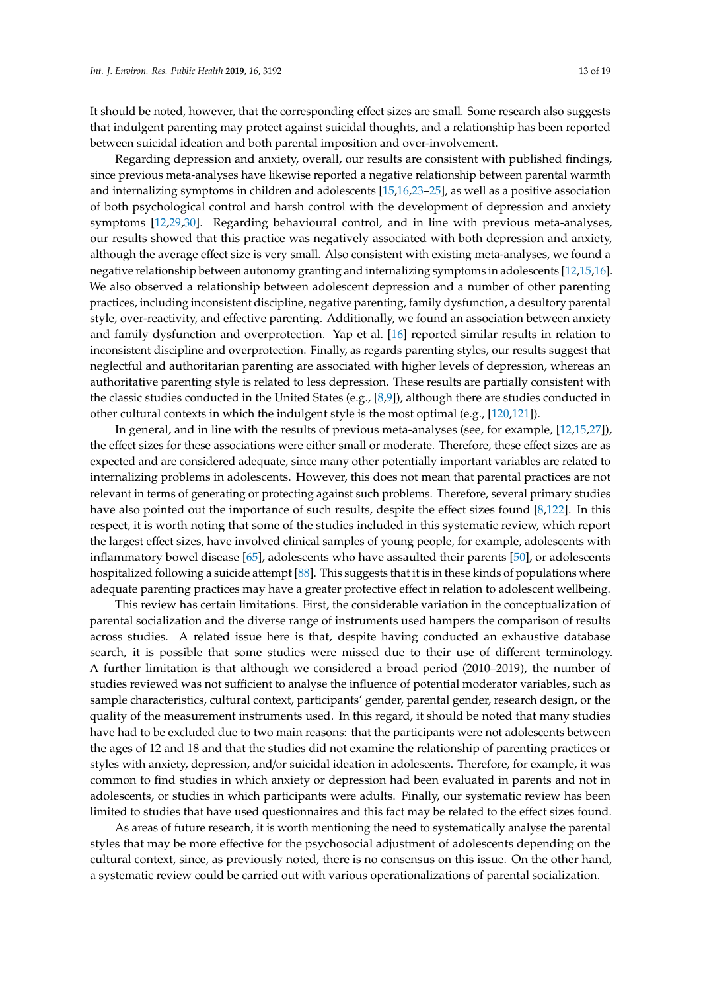It should be noted, however, that the corresponding effect sizes are small. Some research also suggests that indulgent parenting may protect against suicidal thoughts, and a relationship has been reported between suicidal ideation and both parental imposition and over-involvement.

Regarding depression and anxiety, overall, our results are consistent with published findings, since previous meta-analyses have likewise reported a negative relationship between parental warmth and internalizing symptoms in children and adolescents [\[15](#page-13-13)[,16](#page-13-14)[,23–](#page-14-4)[25\]](#page-14-5), as well as a positive association of both psychological control and harsh control with the development of depression and anxiety symptoms [\[12](#page-13-10)[,29](#page-14-9)[,30\]](#page-14-10). Regarding behavioural control, and in line with previous meta-analyses, our results showed that this practice was negatively associated with both depression and anxiety, although the average effect size is very small. Also consistent with existing meta-analyses, we found a negative relationship between autonomy granting and internalizing symptoms in adolescents [\[12](#page-13-10)[,15](#page-13-13)[,16\]](#page-13-14). We also observed a relationship between adolescent depression and a number of other parenting practices, including inconsistent discipline, negative parenting, family dysfunction, a desultory parental style, over-reactivity, and effective parenting. Additionally, we found an association between anxiety and family dysfunction and overprotection. Yap et al. [\[16\]](#page-13-14) reported similar results in relation to inconsistent discipline and overprotection. Finally, as regards parenting styles, our results suggest that neglectful and authoritarian parenting are associated with higher levels of depression, whereas an authoritative parenting style is related to less depression. These results are partially consistent with the classic studies conducted in the United States (e.g., [\[8](#page-13-6)[,9\]](#page-13-7)), although there are studies conducted in other cultural contexts in which the indulgent style is the most optimal (e.g., [\[120,](#page-18-17)[121\]](#page-18-18)).

In general, and in line with the results of previous meta-analyses (see, for example, [\[12,](#page-13-10)[15,](#page-13-13)[27\]](#page-14-7)), the effect sizes for these associations were either small or moderate. Therefore, these effect sizes are as expected and are considered adequate, since many other potentially important variables are related to internalizing problems in adolescents. However, this does not mean that parental practices are not relevant in terms of generating or protecting against such problems. Therefore, several primary studies have also pointed out the importance of such results, despite the effect sizes found [\[8](#page-13-6)[,122\]](#page-18-19). In this respect, it is worth noting that some of the studies included in this systematic review, which report the largest effect sizes, have involved clinical samples of young people, for example, adolescents with inflammatory bowel disease [\[65\]](#page-16-0), adolescents who have assaulted their parents [\[50\]](#page-15-2), or adolescents hospitalized following a suicide attempt [\[88\]](#page-17-2). This suggests that it is in these kinds of populations where adequate parenting practices may have a greater protective effect in relation to adolescent wellbeing.

This review has certain limitations. First, the considerable variation in the conceptualization of parental socialization and the diverse range of instruments used hampers the comparison of results across studies. A related issue here is that, despite having conducted an exhaustive database search, it is possible that some studies were missed due to their use of different terminology. A further limitation is that although we considered a broad period (2010–2019), the number of studies reviewed was not sufficient to analyse the influence of potential moderator variables, such as sample characteristics, cultural context, participants' gender, parental gender, research design, or the quality of the measurement instruments used. In this regard, it should be noted that many studies have had to be excluded due to two main reasons: that the participants were not adolescents between the ages of 12 and 18 and that the studies did not examine the relationship of parenting practices or styles with anxiety, depression, and/or suicidal ideation in adolescents. Therefore, for example, it was common to find studies in which anxiety or depression had been evaluated in parents and not in adolescents, or studies in which participants were adults. Finally, our systematic review has been limited to studies that have used questionnaires and this fact may be related to the effect sizes found.

As areas of future research, it is worth mentioning the need to systematically analyse the parental styles that may be more effective for the psychosocial adjustment of adolescents depending on the cultural context, since, as previously noted, there is no consensus on this issue. On the other hand, a systematic review could be carried out with various operationalizations of parental socialization.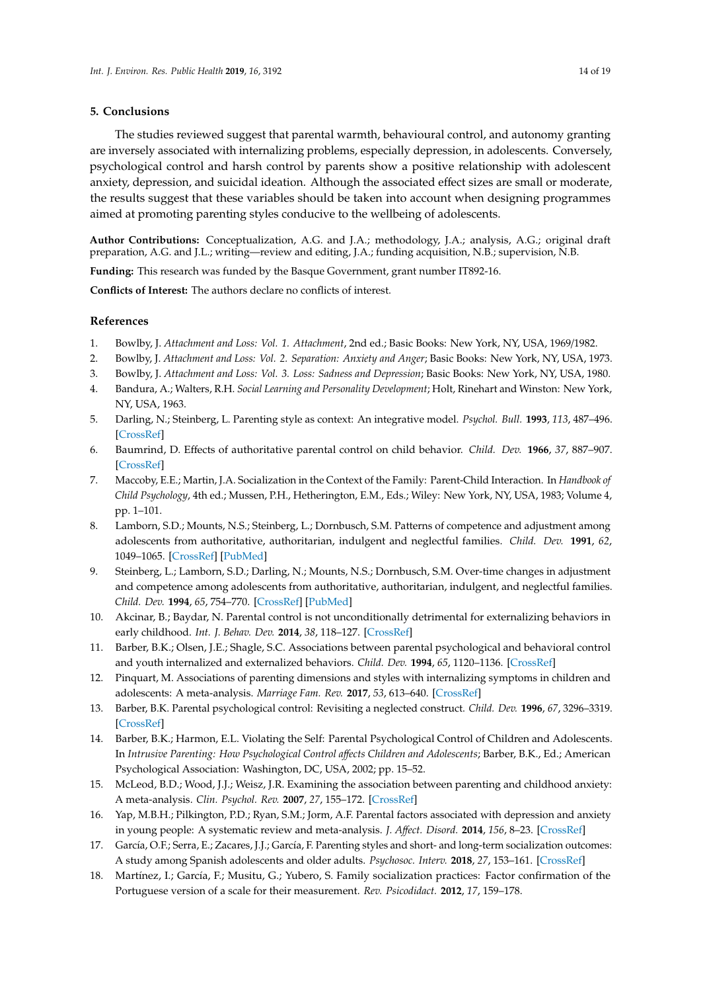#### **5. Conclusions**

The studies reviewed suggest that parental warmth, behavioural control, and autonomy granting are inversely associated with internalizing problems, especially depression, in adolescents. Conversely, psychological control and harsh control by parents show a positive relationship with adolescent anxiety, depression, and suicidal ideation. Although the associated effect sizes are small or moderate, the results suggest that these variables should be taken into account when designing programmes aimed at promoting parenting styles conducive to the wellbeing of adolescents.

**Author Contributions:** Conceptualization, A.G. and J.A.; methodology, J.A.; analysis, A.G.; original draft preparation, A.G. and J.L.; writing—review and editing, J.A.; funding acquisition, N.B.; supervision, N.B.

**Funding:** This research was funded by the Basque Government, grant number IT892-16.

**Conflicts of Interest:** The authors declare no conflicts of interest.

## **References**

- <span id="page-13-0"></span>1. Bowlby, J. *Attachment and Loss: Vol. 1. Attachment*, 2nd ed.; Basic Books: New York, NY, USA, 1969/1982.
- 2. Bowlby, J. *Attachment and Loss: Vol. 2. Separation: Anxiety and Anger*; Basic Books: New York, NY, USA, 1973.
- <span id="page-13-1"></span>3. Bowlby, J. *Attachment and Loss: Vol. 3. Loss: Sadness and Depression*; Basic Books: New York, NY, USA, 1980.
- <span id="page-13-2"></span>4. Bandura, A.; Walters, R.H. *Social Learning and Personality Development*; Holt, Rinehart and Winston: New York, NY, USA, 1963.
- <span id="page-13-3"></span>5. Darling, N.; Steinberg, L. Parenting style as context: An integrative model. *Psychol. Bull.* **1993**, *113*, 487–496. [\[CrossRef\]](http://dx.doi.org/10.1037/0033-2909.113.3.487)
- <span id="page-13-4"></span>6. Baumrind, D. Effects of authoritative parental control on child behavior. *Child. Dev.* **1966**, *37*, 887–907. [\[CrossRef\]](http://dx.doi.org/10.2307/1126611)
- <span id="page-13-5"></span>7. Maccoby, E.E.; Martin, J.A. Socialization in the Context of the Family: Parent-Child Interaction. In *Handbook of Child Psychology*, 4th ed.; Mussen, P.H., Hetherington, E.M., Eds.; Wiley: New York, NY, USA, 1983; Volume 4, pp. 1–101.
- <span id="page-13-6"></span>8. Lamborn, S.D.; Mounts, N.S.; Steinberg, L.; Dornbusch, S.M. Patterns of competence and adjustment among adolescents from authoritative, authoritarian, indulgent and neglectful families. *Child. Dev.* **1991**, *62*, 1049–1065. [\[CrossRef\]](http://dx.doi.org/10.2307/1131151) [\[PubMed\]](http://www.ncbi.nlm.nih.gov/pubmed/1756655)
- <span id="page-13-7"></span>9. Steinberg, L.; Lamborn, S.D.; Darling, N.; Mounts, N.S.; Dornbusch, S.M. Over-time changes in adjustment and competence among adolescents from authoritative, authoritarian, indulgent, and neglectful families. *Child. Dev.* **1994**, *65*, 754–770. [\[CrossRef\]](http://dx.doi.org/10.2307/1131416) [\[PubMed\]](http://www.ncbi.nlm.nih.gov/pubmed/8045165)
- <span id="page-13-8"></span>10. Akcinar, B.; Baydar, N. Parental control is not unconditionally detrimental for externalizing behaviors in early childhood. *Int. J. Behav. Dev.* **2014**, *38*, 118–127. [\[CrossRef\]](http://dx.doi.org/10.1177/0165025413513701)
- <span id="page-13-9"></span>11. Barber, B.K.; Olsen, J.E.; Shagle, S.C. Associations between parental psychological and behavioral control and youth internalized and externalized behaviors. *Child. Dev.* **1994**, *65*, 1120–1136. [\[CrossRef\]](http://dx.doi.org/10.2307/1131309)
- <span id="page-13-10"></span>12. Pinquart, M. Associations of parenting dimensions and styles with internalizing symptoms in children and adolescents: A meta-analysis. *Marriage Fam. Rev.* **2017**, *53*, 613–640. [\[CrossRef\]](http://dx.doi.org/10.1080/01494929.2016.1247761)
- <span id="page-13-11"></span>13. Barber, B.K. Parental psychological control: Revisiting a neglected construct. *Child. Dev.* **1996**, *67*, 3296–3319. [\[CrossRef\]](http://dx.doi.org/10.2307/1131780)
- <span id="page-13-12"></span>14. Barber, B.K.; Harmon, E.L. Violating the Self: Parental Psychological Control of Children and Adolescents. In *Intrusive Parenting: How Psychological Control a*ff*ects Children and Adolescents*; Barber, B.K., Ed.; American Psychological Association: Washington, DC, USA, 2002; pp. 15–52.
- <span id="page-13-13"></span>15. McLeod, B.D.; Wood, J.J.; Weisz, J.R. Examining the association between parenting and childhood anxiety: A meta-analysis. *Clin. Psychol. Rev.* **2007**, *27*, 155–172. [\[CrossRef\]](http://dx.doi.org/10.1016/j.cpr.2006.09.002)
- <span id="page-13-14"></span>16. Yap, M.B.H.; Pilkington, P.D.; Ryan, S.M.; Jorm, A.F. Parental factors associated with depression and anxiety in young people: A systematic review and meta-analysis. *J. A*ff*ect. Disord.* **2014**, *156*, 8–23. [\[CrossRef\]](http://dx.doi.org/10.1016/j.jad.2013.11.007)
- <span id="page-13-15"></span>17. García, O.F.; Serra, E.; Zacares, J.J.; García, F. Parenting styles and short- and long-term socialization outcomes: A study among Spanish adolescents and older adults. *Psychosoc. Interv.* **2018**, *27*, 153–161. [\[CrossRef\]](http://dx.doi.org/10.5093/pi2018a21)
- 18. Martínez, I.; García, F.; Musitu, G.; Yubero, S. Family socialization practices: Factor confirmation of the Portuguese version of a scale for their measurement. *Rev. Psicodidact.* **2012**, *17*, 159–178.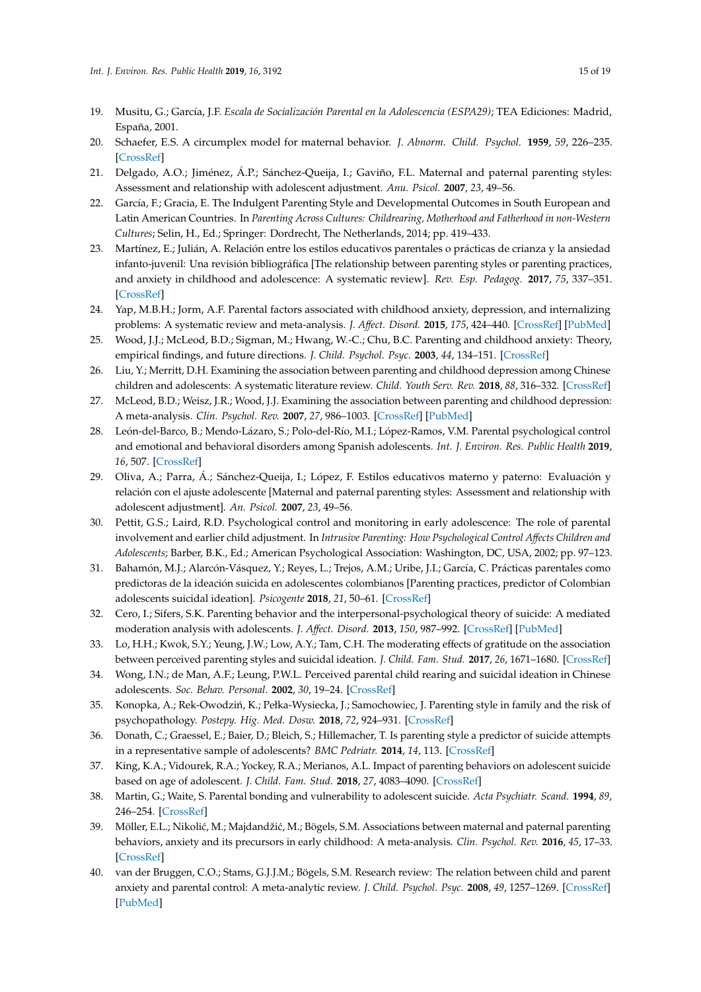- <span id="page-14-3"></span>19. Musitu, G.; García, J.F. *Escala de Socialización Parental en la Adolescencia (ESPA29)*; TEA Ediciones: Madrid, España, 2001.
- <span id="page-14-0"></span>20. Schaefer, E.S. A circumplex model for maternal behavior. *J. Abnorm. Child. Psychol.* **1959**, *59*, 226–235. [\[CrossRef\]](http://dx.doi.org/10.1037/h0041114)
- <span id="page-14-1"></span>21. Delgado, A.O.; Jiménez, Á.P.; Sánchez-Queija, I.; Gaviño, F.L. Maternal and paternal parenting styles: Assessment and relationship with adolescent adjustment. *Anu. Psicol.* **2007**, *23*, 49–56.
- <span id="page-14-2"></span>22. García, F.; Gracia, E. The Indulgent Parenting Style and Developmental Outcomes in South European and Latin American Countries. In *Parenting Across Cultures: Childrearing, Motherhood and Fatherhood in non-Western Cultures*; Selin, H., Ed.; Springer: Dordrecht, The Netherlands, 2014; pp. 419–433.
- <span id="page-14-22"></span><span id="page-14-4"></span>23. Martínez, E.; Julián, A. Relación entre los estilos educativos parentales o prácticas de crianza y la ansiedad infanto-juvenil: Una revisión bibliográfica [The relationship between parenting styles or parenting practices, and anxiety in childhood and adolescence: A systematic review]. *Rev. Esp. Pedagog.* **2017**, *75*, 337–351. [\[CrossRef\]](http://dx.doi.org/10.22550/REP75-2-2017-10)
- <span id="page-14-15"></span>24. Yap, M.B.H.; Jorm, A.F. Parental factors associated with childhood anxiety, depression, and internalizing problems: A systematic review and meta-analysis. *J. A*ff*ect. Disord.* **2015**, *175*, 424–440. [\[CrossRef\]](http://dx.doi.org/10.1016/j.jad.2015.01.050) [\[PubMed\]](http://www.ncbi.nlm.nih.gov/pubmed/25679197)
- <span id="page-14-5"></span>25. Wood, J.J.; McLeod, B.D.; Sigman, M.; Hwang, W.-C.; Chu, B.C. Parenting and childhood anxiety: Theory, empirical findings, and future directions. *J. Child. Psychol. Psyc.* **2003**, *44*, 134–151. [\[CrossRef\]](http://dx.doi.org/10.1111/1469-7610.00106)
- <span id="page-14-6"></span>26. Liu, Y.; Merritt, D.H. Examining the association between parenting and childhood depression among Chinese children and adolescents: A systematic literature review. *Child. Youth Serv. Rev.* **2018**, *88*, 316–332. [\[CrossRef\]](http://dx.doi.org/10.1016/j.childyouth.2018.03.019)
- <span id="page-14-7"></span>27. McLeod, B.D.; Weisz, J.R.; Wood, J.J. Examining the association between parenting and childhood depression: A meta-analysis. *Clin. Psychol. Rev.* **2007**, *27*, 986–1003. [\[CrossRef\]](http://dx.doi.org/10.1016/j.cpr.2007.03.001) [\[PubMed\]](http://www.ncbi.nlm.nih.gov/pubmed/17449154)
- <span id="page-14-23"></span><span id="page-14-8"></span>28. León-del-Barco, B.; Mendo-Lázaro, S.; Polo-del-Río, M.I.; López-Ramos, V.M. Parental psychological control and emotional and behavioral disorders among Spanish adolescents. *Int. J. Environ. Res. Public Health* **2019**, *16*, 507. [\[CrossRef\]](http://dx.doi.org/10.3390/ijerph16030507)
- <span id="page-14-9"></span>29. Oliva, A.; Parra, Á.; Sánchez-Queija, I.; López, F. Estilos educativos materno y paterno: Evaluación y relación con el ajuste adolescente [Maternal and paternal parenting styles: Assessment and relationship with adolescent adjustment]. *An. Psicol.* **2007**, *23*, 49–56.
- <span id="page-14-10"></span>30. Pettit, G.S.; Laird, R.D. Psychological control and monitoring in early adolescence: The role of parental involvement and earlier child adjustment. In *Intrusive Parenting: How Psychological Control A*ff*ects Children and Adolescents*; Barber, B.K., Ed.; American Psychological Association: Washington, DC, USA, 2002; pp. 97–123.
- <span id="page-14-11"></span>31. Bahamón, M.J.; Alarcón-Vásquez, Y.; Reyes, L.; Trejos, A.M.; Uribe, J.I.; García, C. Prácticas parentales como predictoras de la ideación suicida en adolescentes colombianos [Parenting practices, predictor of Colombian adolescents suicidal ideation]. *Psicogente* **2018**, *21*, 50–61. [\[CrossRef\]](http://dx.doi.org/10.17081/psico.21.39.2821)
- <span id="page-14-12"></span>32. Cero, I.; Sifers, S.K. Parenting behavior and the interpersonal-psychological theory of suicide: A mediated moderation analysis with adolescents. *J. A*ff*ect. Disord.* **2013**, *150*, 987–992. [\[CrossRef\]](http://dx.doi.org/10.1016/j.jad.2013.05.025) [\[PubMed\]](http://www.ncbi.nlm.nih.gov/pubmed/23790812)
- <span id="page-14-14"></span>33. Lo, H.H.; Kwok, S.Y.; Yeung, J.W.; Low, A.Y.; Tam, C.H. The moderating effects of gratitude on the association between perceived parenting styles and suicidal ideation. *J. Child. Fam. Stud.* **2017**, *26*, 1671–1680. [\[CrossRef\]](http://dx.doi.org/10.1007/s10826-017-0683-y)
- <span id="page-14-13"></span>34. Wong, I.N.; de Man, A.F.; Leung, P.W.L. Perceived parental child rearing and suicidal ideation in Chinese adolescents. *Soc. Behav. Personal.* **2002**, *30*, 19–24. [\[CrossRef\]](http://dx.doi.org/10.2224/sbp.2002.30.1.19)
- <span id="page-14-16"></span>35. Konopka, A.; Rek-Owodziń, K.; Pełka-Wysiecka, J.; Samochowiec, J. Parenting style in family and the risk of psychopathology. *Postepy. Hig. Med. Dosw.* **2018**, *72*, 924–931. [\[CrossRef\]](http://dx.doi.org/10.5604/01.3001.0012.7026)
- <span id="page-14-17"></span>36. Donath, C.; Graessel, E.; Baier, D.; Bleich, S.; Hillemacher, T. Is parenting style a predictor of suicide attempts in a representative sample of adolescents? *BMC Pedriatr.* **2014**, *14*, 113. [\[CrossRef\]](http://dx.doi.org/10.1186/1471-2431-14-113)
- <span id="page-14-19"></span>37. King, K.A.; Vidourek, R.A.; Yockey, R.A.; Merianos, A.L. Impact of parenting behaviors on adolescent suicide based on age of adolescent. *J. Child. Fam. Stud.* **2018**, *27*, 4083–4090. [\[CrossRef\]](http://dx.doi.org/10.1007/s10826-018-1220-3)
- <span id="page-14-18"></span>38. Martin, G.; Waite, S. Parental bonding and vulnerability to adolescent suicide. *Acta Psychiatr. Scand.* **1994**, *89*, 246–254. [\[CrossRef\]](http://dx.doi.org/10.1111/j.1600-0447.1994.tb01509.x)
- <span id="page-14-20"></span>39. Möller, E.L.; Nikolić, M.; Majdandžić, M.; Bögels, S.M. Associations between maternal and paternal parenting behaviors, anxiety and its precursors in early childhood: A meta-analysis. *Clin. Psychol. Rev.* **2016**, *45*, 17–33. [\[CrossRef\]](http://dx.doi.org/10.1016/j.cpr.2016.03.002)
- <span id="page-14-21"></span>40. van der Bruggen, C.O.; Stams, G.J.J.M.; Bögels, S.M. Research review: The relation between child and parent anxiety and parental control: A meta-analytic review. *J. Child. Psychol. Psyc.* **2008**, *49*, 1257–1269. [\[CrossRef\]](http://dx.doi.org/10.1111/j.1469-7610.2008.01898.x) [\[PubMed\]](http://www.ncbi.nlm.nih.gov/pubmed/18355216)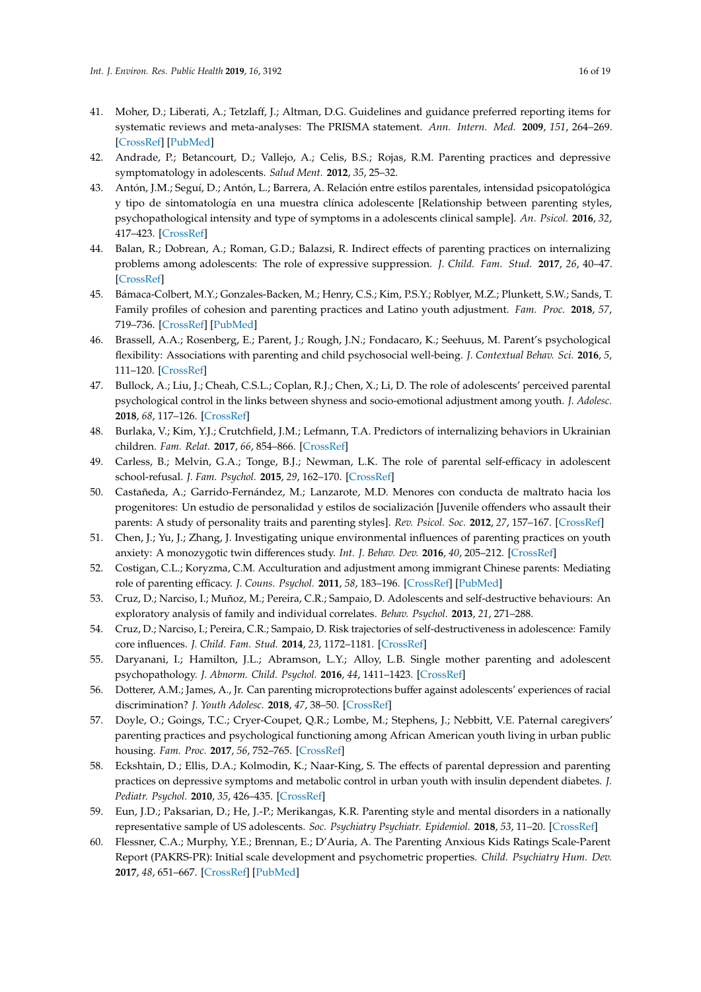- <span id="page-15-9"></span><span id="page-15-8"></span><span id="page-15-7"></span><span id="page-15-6"></span><span id="page-15-5"></span><span id="page-15-4"></span><span id="page-15-3"></span><span id="page-15-0"></span>41. Moher, D.; Liberati, A.; Tetzlaff, J.; Altman, D.G. Guidelines and guidance preferred reporting items for systematic reviews and meta-analyses: The PRISMA statement. *Ann. Intern. Med.* **2009**, *151*, 264–269. [\[CrossRef\]](http://dx.doi.org/10.7326/0003-4819-151-4-200908180-00135) [\[PubMed\]](http://www.ncbi.nlm.nih.gov/pubmed/19622511)
- <span id="page-15-10"></span><span id="page-15-1"></span>42. Andrade, P.; Betancourt, D.; Vallejo, A.; Celis, B.S.; Rojas, R.M. Parenting practices and depressive symptomatology in adolescents. *Salud Ment.* **2012**, *35*, 25–32.
- <span id="page-15-11"></span>43. Antón, J.M.; Seguí, D.; Antón, L.; Barrera, A. Relación entre estilos parentales, intensidad psicopatológica y tipo de sintomatología en una muestra clínica adolescente [Relationship between parenting styles, psychopathological intensity and type of symptoms in a adolescents clinical sample]. *An. Psicol.* **2016**, *32*, 417–423. [\[CrossRef\]](http://dx.doi.org/10.6018/analesps.32.2.205061)
- <span id="page-15-13"></span><span id="page-15-12"></span>44. Balan, R.; Dobrean, A.; Roman, G.D.; Balazsi, R. Indirect effects of parenting practices on internalizing problems among adolescents: The role of expressive suppression. *J. Child. Fam. Stud.* **2017**, *26*, 40–47. [\[CrossRef\]](http://dx.doi.org/10.1007/s10826-016-0532-4)
- <span id="page-15-14"></span>45. Bámaca-Colbert, M.Y.; Gonzales-Backen, M.; Henry, C.S.; Kim, P.S.Y.; Roblyer, M.Z.; Plunkett, S.W.; Sands, T. Family profiles of cohesion and parenting practices and Latino youth adjustment. *Fam. Proc.* **2018**, *57*, 719–736. [\[CrossRef\]](http://dx.doi.org/10.1111/famp.12314) [\[PubMed\]](http://www.ncbi.nlm.nih.gov/pubmed/28796290)
- <span id="page-15-22"></span><span id="page-15-16"></span><span id="page-15-15"></span>46. Brassell, A.A.; Rosenberg, E.; Parent, J.; Rough, J.N.; Fondacaro, K.; Seehuus, M. Parent's psychological flexibility: Associations with parenting and child psychosocial well-being. *J. Contextual Behav. Sci.* **2016**, *5*, 111–120. [\[CrossRef\]](http://dx.doi.org/10.1016/j.jcbs.2016.03.001)
- <span id="page-15-17"></span>47. Bullock, A.; Liu, J.; Cheah, C.S.L.; Coplan, R.J.; Chen, X.; Li, D. The role of adolescents' perceived parental psychological control in the links between shyness and socio-emotional adjustment among youth. *J. Adolesc.* **2018**, *68*, 117–126. [\[CrossRef\]](http://dx.doi.org/10.1016/j.adolescence.2018.07.007)
- <span id="page-15-18"></span>48. Burlaka, V.; Kim, Y.J.; Crutchfield, J.M.; Lefmann, T.A. Predictors of internalizing behaviors in Ukrainian children. *Fam. Relat.* **2017**, *66*, 854–866. [\[CrossRef\]](http://dx.doi.org/10.1111/fare.12289)
- <span id="page-15-23"></span><span id="page-15-19"></span>49. Carless, B.; Melvin, G.A.; Tonge, B.J.; Newman, L.K. The role of parental self-efficacy in adolescent school-refusal. *J. Fam. Psychol.* **2015**, *29*, 162–170. [\[CrossRef\]](http://dx.doi.org/10.1037/fam0000050)
- <span id="page-15-20"></span><span id="page-15-2"></span>50. Castañeda, A.; Garrido-Fernández, M.; Lanzarote, M.D. Menores con conducta de maltrato hacia los progenitores: Un estudio de personalidad y estilos de socialización [Juvenile offenders who assault their parents: A study of personality traits and parenting styles]. *Rev. Psicol. Soc.* **2012**, *27*, 157–167. [\[CrossRef\]](http://dx.doi.org/10.1174/021347412800337933)
- <span id="page-15-21"></span>51. Chen, J.; Yu, J.; Zhang, J. Investigating unique environmental influences of parenting practices on youth anxiety: A monozygotic twin differences study. *Int. J. Behav. Dev.* **2016**, *40*, 205–212. [\[CrossRef\]](http://dx.doi.org/10.1177/0165025415611261)
- 52. Costigan, C.L.; Koryzma, C.M. Acculturation and adjustment among immigrant Chinese parents: Mediating role of parenting efficacy. *J. Couns. Psychol.* **2011**, *58*, 183–196. [\[CrossRef\]](http://dx.doi.org/10.1037/a0021696) [\[PubMed\]](http://www.ncbi.nlm.nih.gov/pubmed/21142354)
- 53. Cruz, D.; Narciso, I.; Muñoz, M.; Pereira, C.R.; Sampaio, D. Adolescents and self-destructive behaviours: An exploratory analysis of family and individual correlates. *Behav. Psychol.* **2013**, *21*, 271–288.
- 54. Cruz, D.; Narciso, I.; Pereira, C.R.; Sampaio, D. Risk trajectories of self-destructiveness in adolescence: Family core influences. *J. Child. Fam. Stud.* **2014**, *23*, 1172–1181. [\[CrossRef\]](http://dx.doi.org/10.1007/s10826-013-9777-3)
- 55. Daryanani, I.; Hamilton, J.L.; Abramson, L.Y.; Alloy, L.B. Single mother parenting and adolescent psychopathology. *J. Abnorm. Child. Psychol.* **2016**, *44*, 1411–1423. [\[CrossRef\]](http://dx.doi.org/10.1007/s10802-016-0128-x)
- 56. Dotterer, A.M.; James, A., Jr. Can parenting microprotections buffer against adolescents' experiences of racial discrimination? *J. Youth Adolesc.* **2018**, *47*, 38–50. [\[CrossRef\]](http://dx.doi.org/10.1007/s10964-017-0773-6)
- 57. Doyle, O.; Goings, T.C.; Cryer-Coupet, Q.R.; Lombe, M.; Stephens, J.; Nebbitt, V.E. Paternal caregivers' parenting practices and psychological functioning among African American youth living in urban public housing. *Fam. Proc.* **2017**, *56*, 752–765. [\[CrossRef\]](http://dx.doi.org/10.1111/famp.12221)
- 58. Eckshtain, D.; Ellis, D.A.; Kolmodin, K.; Naar-King, S. The effects of parental depression and parenting practices on depressive symptoms and metabolic control in urban youth with insulin dependent diabetes. *J. Pediatr. Psychol.* **2010**, *35*, 426–435. [\[CrossRef\]](http://dx.doi.org/10.1093/jpepsy/jsp068)
- 59. Eun, J.D.; Paksarian, D.; He, J.-P.; Merikangas, K.R. Parenting style and mental disorders in a nationally representative sample of US adolescents. *Soc. Psychiatry Psychiatr. Epidemiol.* **2018**, *53*, 11–20. [\[CrossRef\]](http://dx.doi.org/10.1007/s00127-017-1435-4)
- 60. Flessner, C.A.; Murphy, Y.E.; Brennan, E.; D'Auria, A. The Parenting Anxious Kids Ratings Scale-Parent Report (PAKRS-PR): Initial scale development and psychometric properties. *Child. Psychiatry Hum. Dev.* **2017**, *48*, 651–667. [\[CrossRef\]](http://dx.doi.org/10.1007/s10578-016-0688-6) [\[PubMed\]](http://www.ncbi.nlm.nih.gov/pubmed/27770232)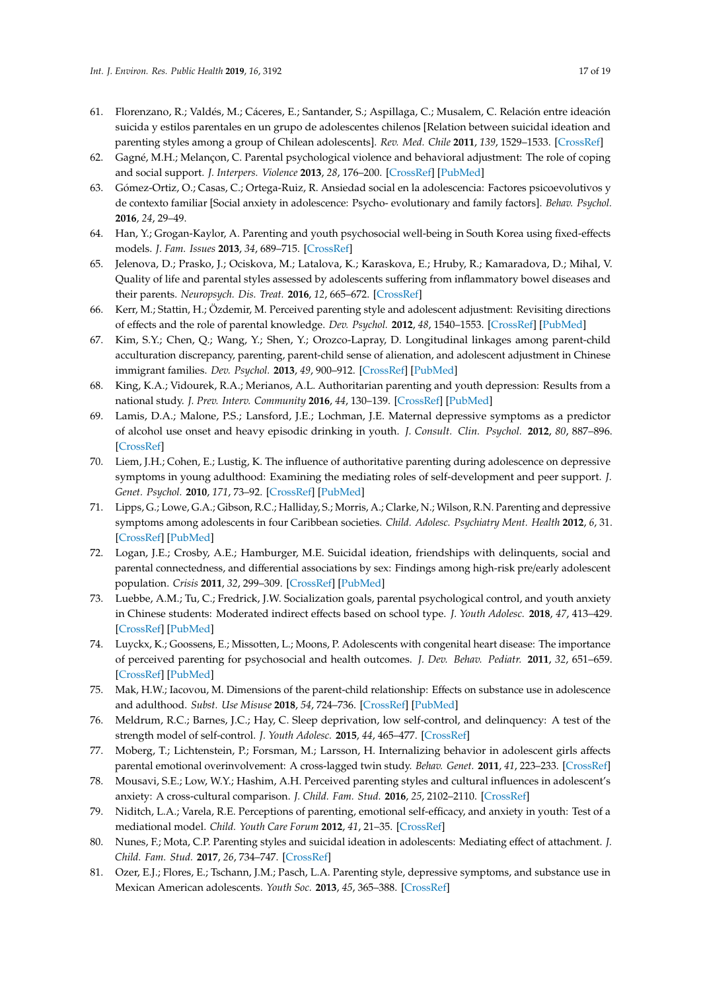- <span id="page-16-15"></span><span id="page-16-14"></span><span id="page-16-13"></span><span id="page-16-12"></span><span id="page-16-11"></span><span id="page-16-10"></span><span id="page-16-9"></span><span id="page-16-8"></span><span id="page-16-7"></span><span id="page-16-2"></span>61. Florenzano, R.; Valdés, M.; Cáceres, E.; Santander, S.; Aspillaga, C.; Musalem, C. Relación entre ideación suicida y estilos parentales en un grupo de adolescentes chilenos [Relation between suicidal ideation and parenting styles among a group of Chilean adolescents]. *Rev. Med. Chile* **2011**, *139*, 1529–1533. [\[CrossRef\]](http://dx.doi.org/10.4067/S0034-98872011001200001)
- <span id="page-16-16"></span>62. Gagné, M.H.; Melançon, C. Parental psychological violence and behavioral adjustment: The role of coping and social support. *J. Interpers. Violence* **2013**, *28*, 176–200. [\[CrossRef\]](http://dx.doi.org/10.1177/0886260512448842) [\[PubMed\]](http://www.ncbi.nlm.nih.gov/pubmed/22829215)
- 63. Gómez-Ortiz, O.; Casas, C.; Ortega-Ruiz, R. Ansiedad social en la adolescencia: Factores psicoevolutivos y de contexto familiar [Social anxiety in adolescence: Psycho- evolutionary and family factors]. *Behav. Psychol.* **2016**, *24*, 29–49.
- <span id="page-16-17"></span>64. Han, Y.; Grogan-Kaylor, A. Parenting and youth psychosocial well-being in South Korea using fixed-effects models. *J. Fam. Issues* **2013**, *34*, 689–715. [\[CrossRef\]](http://dx.doi.org/10.1177/0192513X12440091)
- <span id="page-16-18"></span><span id="page-16-0"></span>65. Jelenova, D.; Prasko, J.; Ociskova, M.; Latalova, K.; Karaskova, E.; Hruby, R.; Kamaradova, D.; Mihal, V. Quality of life and parental styles assessed by adolescents suffering from inflammatory bowel diseases and their parents. *Neuropsych. Dis. Treat.* **2016**, *12*, 665–672. [\[CrossRef\]](http://dx.doi.org/10.2147/ndt.s104260)
- <span id="page-16-19"></span><span id="page-16-4"></span>66. Kerr, M.; Stattin, H.; Özdemir, M. Perceived parenting style and adolescent adjustment: Revisiting directions of effects and the role of parental knowledge. *Dev. Psychol.* **2012**, *48*, 1540–1553. [\[CrossRef\]](http://dx.doi.org/10.1037/a0027720) [\[PubMed\]](http://www.ncbi.nlm.nih.gov/pubmed/22448987)
- <span id="page-16-20"></span>67. Kim, S.Y.; Chen, Q.; Wang, Y.; Shen, Y.; Orozco-Lapray, D. Longitudinal linkages among parent-child acculturation discrepancy, parenting, parent-child sense of alienation, and adolescent adjustment in Chinese immigrant families. *Dev. Psychol.* **2013**, *49*, 900–912. [\[CrossRef\]](http://dx.doi.org/10.1037/a0029169) [\[PubMed\]](http://www.ncbi.nlm.nih.gov/pubmed/22799587)
- <span id="page-16-21"></span>68. King, K.A.; Vidourek, R.A.; Merianos, A.L. Authoritarian parenting and youth depression: Results from a national study. *J. Prev. Interv. Community* **2016**, *44*, 130–139. [\[CrossRef\]](http://dx.doi.org/10.1080/10852352.2016.1132870) [\[PubMed\]](http://www.ncbi.nlm.nih.gov/pubmed/26939843)
- <span id="page-16-22"></span>69. Lamis, D.A.; Malone, P.S.; Lansford, J.E.; Lochman, J.E. Maternal depressive symptoms as a predictor of alcohol use onset and heavy episodic drinking in youth. *J. Consult. Clin. Psychol.* **2012**, *80*, 887–896. [\[CrossRef\]](http://dx.doi.org/10.1037/a0028959)
- <span id="page-16-24"></span><span id="page-16-23"></span>70. Liem, J.H.; Cohen, E.; Lustig, K. The influence of authoritative parenting during adolescence on depressive symptoms in young adulthood: Examining the mediating roles of self-development and peer support. *J. Genet. Psychol.* **2010**, *171*, 73–92. [\[CrossRef\]](http://dx.doi.org/10.1080/00221320903300379) [\[PubMed\]](http://www.ncbi.nlm.nih.gov/pubmed/20333896)
- <span id="page-16-25"></span><span id="page-16-6"></span>71. Lipps, G.; Lowe, G.A.; Gibson, R.C.; Halliday, S.; Morris, A.; Clarke, N.; Wilson, R.N. Parenting and depressive symptoms among adolescents in four Caribbean societies. *Child. Adolesc. Psychiatry Ment. Health* **2012**, *6*, 31. [\[CrossRef\]](http://dx.doi.org/10.1186/1753-2000-6-31) [\[PubMed\]](http://www.ncbi.nlm.nih.gov/pubmed/22998793)
- <span id="page-16-26"></span>72. Logan, J.E.; Crosby, A.E.; Hamburger, M.E. Suicidal ideation, friendships with delinquents, social and parental connectedness, and differential associations by sex: Findings among high-risk pre/early adolescent population. *Crisis* **2011**, *32*, 299–309. [\[CrossRef\]](http://dx.doi.org/10.1027/0227-5910/a000091) [\[PubMed\]](http://www.ncbi.nlm.nih.gov/pubmed/21940255)
- <span id="page-16-27"></span>73. Luebbe, A.M.; Tu, C.; Fredrick, J.W. Socialization goals, parental psychological control, and youth anxiety in Chinese students: Moderated indirect effects based on school type. *J. Youth Adolesc.* **2018**, *47*, 413–429. [\[CrossRef\]](http://dx.doi.org/10.1007/s10964-017-0784-3) [\[PubMed\]](http://www.ncbi.nlm.nih.gov/pubmed/29110254)
- <span id="page-16-5"></span>74. Luyckx, K.; Goossens, E.; Missotten, L.; Moons, P. Adolescents with congenital heart disease: The importance of perceived parenting for psychosocial and health outcomes. *J. Dev. Behav. Pediatr.* **2011**, *32*, 651–659. [\[CrossRef\]](http://dx.doi.org/10.1097/DBP.0b013e3182331e99) [\[PubMed\]](http://www.ncbi.nlm.nih.gov/pubmed/21968927)
- 75. Mak, H.W.; Iacovou, M. Dimensions of the parent-child relationship: Effects on substance use in adolescence and adulthood. *Subst. Use Misuse* **2018**, *54*, 724–736. [\[CrossRef\]](http://dx.doi.org/10.1080/10826084.2018.1536718) [\[PubMed\]](http://www.ncbi.nlm.nih.gov/pubmed/30457893)
- <span id="page-16-28"></span>76. Meldrum, R.C.; Barnes, J.C.; Hay, C. Sleep deprivation, low self-control, and delinquency: A test of the strength model of self-control. *J. Youth Adolesc.* **2015**, *44*, 465–477. [\[CrossRef\]](http://dx.doi.org/10.1007/s10964-013-0024-4)
- <span id="page-16-29"></span>77. Moberg, T.; Lichtenstein, P.; Forsman, M.; Larsson, H. Internalizing behavior in adolescent girls affects parental emotional overinvolvement: A cross-lagged twin study. *Behav. Genet.* **2011**, *41*, 223–233. [\[CrossRef\]](http://dx.doi.org/10.1007/s10519-010-9383-8)
- <span id="page-16-1"></span>78. Mousavi, S.E.; Low, W.Y.; Hashim, A.H. Perceived parenting styles and cultural influences in adolescent's anxiety: A cross-cultural comparison. *J. Child. Fam. Stud.* **2016**, *25*, 2102–2110. [\[CrossRef\]](http://dx.doi.org/10.1007/s10826-016-0393-x)
- 79. Niditch, L.A.; Varela, R.E. Perceptions of parenting, emotional self-efficacy, and anxiety in youth: Test of a mediational model. *Child. Youth Care Forum* **2012**, *41*, 21–35. [\[CrossRef\]](http://dx.doi.org/10.1007/s10566-011-9150-x)
- <span id="page-16-3"></span>80. Nunes, F.; Mota, C.P. Parenting styles and suicidal ideation in adolescents: Mediating effect of attachment. *J. Child. Fam. Stud.* **2017**, *26*, 734–747. [\[CrossRef\]](http://dx.doi.org/10.1007/s10826-016-0611-6)
- 81. Ozer, E.J.; Flores, E.; Tschann, J.M.; Pasch, L.A. Parenting style, depressive symptoms, and substance use in Mexican American adolescents. *Youth Soc.* **2013**, *45*, 365–388. [\[CrossRef\]](http://dx.doi.org/10.1177/0044118X11418539)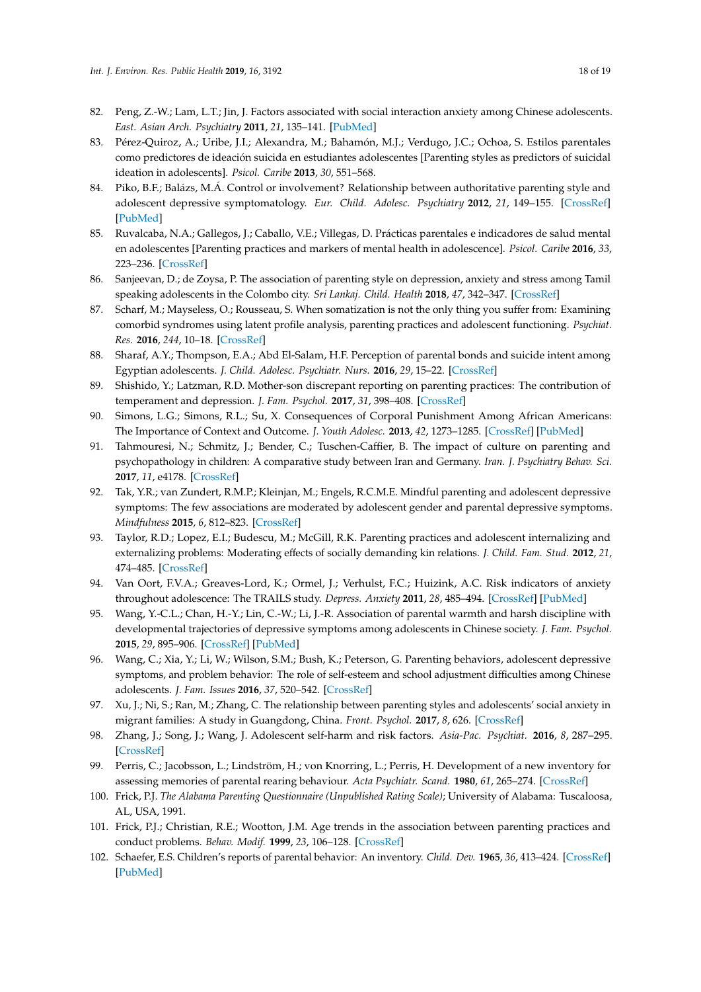- <span id="page-17-19"></span><span id="page-17-18"></span><span id="page-17-17"></span><span id="page-17-16"></span><span id="page-17-15"></span><span id="page-17-14"></span><span id="page-17-13"></span><span id="page-17-12"></span><span id="page-17-11"></span>82. Peng, Z.-W.; Lam, L.T.; Jin, J. Factors associated with social interaction anxiety among Chinese adolescents. *East. Asian Arch. Psychiatry* **2011**, *21*, 135–141. [\[PubMed\]](http://www.ncbi.nlm.nih.gov/pubmed/22215787)
- <span id="page-17-20"></span><span id="page-17-7"></span>83. Pérez-Quiroz, A.; Uribe, J.I.; Alexandra, M.; Bahamón, M.J.; Verdugo, J.C.; Ochoa, S. Estilos parentales como predictores de ideación suicida en estudiantes adolescentes [Parenting styles as predictors of suicidal ideation in adolescents]. *Psicol. Caribe* **2013**, *30*, 551–568.
- <span id="page-17-21"></span>84. Piko, B.F.; Balázs, M.Á. Control or involvement? Relationship between authoritative parenting style and adolescent depressive symptomatology. *Eur. Child. Adolesc. Psychiatry* **2012**, *21*, 149–155. [\[CrossRef\]](http://dx.doi.org/10.1007/s00787-012-0246-0) [\[PubMed\]](http://www.ncbi.nlm.nih.gov/pubmed/22271064)
- <span id="page-17-22"></span><span id="page-17-8"></span>85. Ruvalcaba, N.A.; Gallegos, J.; Caballo, V.E.; Villegas, D. Prácticas parentales e indicadores de salud mental en adolescentes [Parenting practices and markers of mental health in adolescence]. *Psicol. Caribe* **2016**, *33*, 223–236. [\[CrossRef\]](http://dx.doi.org/10.14482/psdc.33.3.9485)
- <span id="page-17-23"></span><span id="page-17-9"></span>86. Sanjeevan, D.; de Zoysa, P. The association of parenting style on depression, anxiety and stress among Tamil speaking adolescents in the Colombo city. *Sri Lankaj. Child. Health* **2018**, *47*, 342–347. [\[CrossRef\]](http://dx.doi.org/10.4038/sljch.v47i4.8597)
- <span id="page-17-24"></span>87. Scharf, M.; Mayseless, O.; Rousseau, S. When somatization is not the only thing you suffer from: Examining comorbid syndromes using latent profile analysis, parenting practices and adolescent functioning. *Psychiat. Res.* **2016**, *244*, 10–18. [\[CrossRef\]](http://dx.doi.org/10.1016/j.psychres.2016.07.015)
- <span id="page-17-25"></span><span id="page-17-2"></span>88. Sharaf, A.Y.; Thompson, E.A.; Abd El-Salam, H.F. Perception of parental bonds and suicide intent among Egyptian adolescents. *J. Child. Adolesc. Psychiatr. Nurs.* **2016**, *29*, 15–22. [\[CrossRef\]](http://dx.doi.org/10.1111/jcap.12130)
- <span id="page-17-1"></span>89. Shishido, Y.; Latzman, R.D. Mother-son discrepant reporting on parenting practices: The contribution of temperament and depression. *J. Fam. Psychol.* **2017**, *31*, 398–408. [\[CrossRef\]](http://dx.doi.org/10.1037/fam0000284)
- <span id="page-17-10"></span>90. Simons, L.G.; Simons, R.L.; Su, X. Consequences of Corporal Punishment Among African Americans: The Importance of Context and Outcome. *J. Youth Adolesc.* **2013**, *42*, 1273–1285. [\[CrossRef\]](http://dx.doi.org/10.1007/s10964-012-9853-9) [\[PubMed\]](http://www.ncbi.nlm.nih.gov/pubmed/23192450)
- <span id="page-17-27"></span><span id="page-17-26"></span>91. Tahmouresi, N.; Schmitz, J.; Bender, C.; Tuschen-Caffier, B. The impact of culture on parenting and psychopathology in children: A comparative study between Iran and Germany. *Iran. J. Psychiatry Behav. Sci.* **2017**, *11*, e4178. [\[CrossRef\]](http://dx.doi.org/10.17795/ijpbs-4178)
- 92. Tak, Y.R.; van Zundert, R.M.P.; Kleinjan, M.; Engels, R.C.M.E. Mindful parenting and adolescent depressive symptoms: The few associations are moderated by adolescent gender and parental depressive symptoms. *Mindfulness* **2015**, *6*, 812–823. [\[CrossRef\]](http://dx.doi.org/10.1007/s12671-014-0324-0)
- 93. Taylor, R.D.; Lopez, E.I.; Budescu, M.; McGill, R.K. Parenting practices and adolescent internalizing and externalizing problems: Moderating effects of socially demanding kin relations. *J. Child. Fam. Stud.* **2012**, *21*, 474–485. [\[CrossRef\]](http://dx.doi.org/10.1007/s10826-011-9501-0)
- 94. Van Oort, F.V.A.; Greaves-Lord, K.; Ormel, J.; Verhulst, F.C.; Huizink, A.C. Risk indicators of anxiety throughout adolescence: The TRAILS study. *Depress. Anxiety* **2011**, *28*, 485–494. [\[CrossRef\]](http://dx.doi.org/10.1002/da.20818) [\[PubMed\]](http://www.ncbi.nlm.nih.gov/pubmed/21509913)
- 95. Wang, Y.-C.L.; Chan, H.-Y.; Lin, C.-W.; Li, J.-R. Association of parental warmth and harsh discipline with developmental trajectories of depressive symptoms among adolescents in Chinese society. *J. Fam. Psychol.* **2015**, *29*, 895–906. [\[CrossRef\]](http://dx.doi.org/10.1037/a0039505) [\[PubMed\]](http://www.ncbi.nlm.nih.gov/pubmed/26168265)
- 96. Wang, C.; Xia, Y.; Li, W.; Wilson, S.M.; Bush, K.; Peterson, G. Parenting behaviors, adolescent depressive symptoms, and problem behavior: The role of self-esteem and school adjustment difficulties among Chinese adolescents. *J. Fam. Issues* **2016**, *37*, 520–542. [\[CrossRef\]](http://dx.doi.org/10.1177/0192513X14542433)
- 97. Xu, J.; Ni, S.; Ran, M.; Zhang, C. The relationship between parenting styles and adolescents' social anxiety in migrant families: A study in Guangdong, China. *Front. Psychol.* **2017**, *8*, 626. [\[CrossRef\]](http://dx.doi.org/10.3389/fpsyg.2017.00626)
- <span id="page-17-0"></span>98. Zhang, J.; Song, J.; Wang, J. Adolescent self-harm and risk factors. *Asia-Pac. Psychiat.* **2016**, *8*, 287–295. [\[CrossRef\]](http://dx.doi.org/10.1111/appy.12243)
- <span id="page-17-3"></span>99. Perris, C.; Jacobsson, L.; Lindström, H.; von Knorring, L.; Perris, H. Development of a new inventory for assessing memories of parental rearing behaviour. *Acta Psychiatr. Scand.* **1980**, *61*, 265–274. [\[CrossRef\]](http://dx.doi.org/10.1111/j.1600-0447.1980.tb00581.x)
- <span id="page-17-4"></span>100. Frick, P.J. *The Alabama Parenting Questionnaire (Unpublished Rating Scale)*; University of Alabama: Tuscaloosa, AL, USA, 1991.
- <span id="page-17-5"></span>101. Frick, P.J.; Christian, R.E.; Wootton, J.M. Age trends in the association between parenting practices and conduct problems. *Behav. Modif.* **1999**, *23*, 106–128. [\[CrossRef\]](http://dx.doi.org/10.1177/0145445599231005)
- <span id="page-17-6"></span>102. Schaefer, E.S. Children's reports of parental behavior: An inventory. *Child. Dev.* **1965**, *36*, 413–424. [\[CrossRef\]](http://dx.doi.org/10.2307/1126465) [\[PubMed\]](http://www.ncbi.nlm.nih.gov/pubmed/14300862)